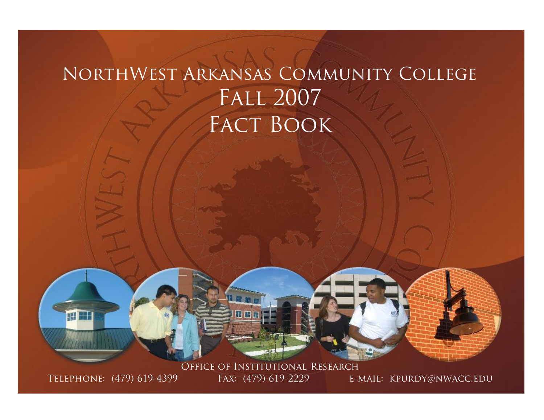# NorthWest Arkansas Community College Fall 2007 FACT BOOK



Office of Institutional Research TELEPHONE: (479) 619-4399 FAX: (479) 619-2229 E-MAIL: KPURDY@NWACC.EDU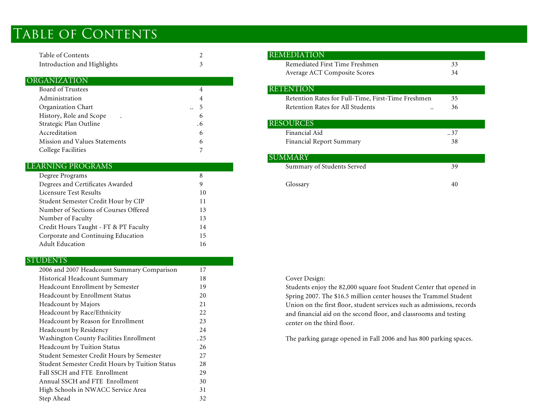# TABLE OF CONTENTS

| Table of Contents           | <b>REMEDIATION</b> |
|-----------------------------|--------------------|
| Introduction and Highlights | Remediated First   |

### ORGANIZATION

| Board of Trustees             | 4          | <b>RETENTION</b>      |
|-------------------------------|------------|-----------------------|
| Administration                | 4          | <b>Retention Rate</b> |
| Organization Chart            | $\ldots$ 5 | <b>Retention Rate</b> |
| History, Role and Scope       | 6          |                       |
| Strategic Plan Outline        | . 6        | <b>RESOURCES</b>      |
| Accreditation                 | 6          | Financial Aid         |
| Mission and Values Statements | 6          | Financial Repo        |
| College Facilities            |            |                       |

### LEARNING PROGRAMS

| Degree Programs                       | 8  |          |  |
|---------------------------------------|----|----------|--|
| Degrees and Certificates Awarded      |    | Glossarv |  |
| Licensure Test Results                | 10 |          |  |
| Student Semester Credit Hour by CIP   |    |          |  |
| Number of Sections of Courses Offered | 13 |          |  |
| Number of Faculty                     | 13 |          |  |
| Credit Hours Taught - FT & PT Faculty | 14 |          |  |
| Corporate and Continuing Education    | 15 |          |  |
| <b>Adult Education</b>                | 16 |          |  |
|                                       |    |          |  |

### **STUDENTS**

| 2006 and 2007 Headcount Summary Comparison             | 17  |                 |
|--------------------------------------------------------|-----|-----------------|
| Historical Headcount Summary                           | 18  | Cover Design:   |
| Headcount Enrollment by Semester                       | 19  | Students enjoy  |
| Headcount by Enrollment Status                         | 20  | Spring 2007. T  |
| <b>Headcount by Majors</b>                             | 21  | Union on the f  |
| Headcount by Race/Ethnicity                            | 22  | and financial a |
| Headcount by Reason for Enrollment                     | 23  | center on the t |
| Headcount by Residency                                 | 24  |                 |
| Washington County Facilities Enrollment                | .25 | The parking ga  |
| Headcount by Tuition Status                            | 26  |                 |
| Student Semester Credit Hours by Semester              | 27  |                 |
| <b>Student Semester Credit Hours by Tuition Status</b> | 28  |                 |
| Fall SSCH and FTE Enrollment                           | 29  |                 |
| Annual SSCH and FTE Enrollment                         | 30  |                 |
| High Schools in NWACC Service Area                     | 31  |                 |
| Step Ahead                                             | 32  |                 |
|                                                        |     |                 |

| Table of Contents                |              | <b>REMEDIATION</b>                                 |     |  |
|----------------------------------|--------------|----------------------------------------------------|-----|--|
| Introduction and Highlights      |              | Remediated First Time Freshmen                     | 33  |  |
|                                  |              | Average ACT Composite Scores                       | 34  |  |
| <b>GANIZATION</b>                |              |                                                    |     |  |
| <b>Board of Trustees</b>         |              | <b>RETENTION</b>                                   |     |  |
| Administration                   |              | Retention Rates for Full-Time, First-Time Freshmen | 35  |  |
| Organization Chart               | $\ddotsc$    | <b>Retention Rates for All Students</b><br>        | 36  |  |
| History, Role and Scope          | <sub>b</sub> |                                                    |     |  |
| Strategic Plan Outline           | $\cdot 6$    | <b>RESOURCES</b>                                   |     |  |
| Accreditation                    | 6            | Financial Aid                                      | .37 |  |
| Mission and Values Statements    | 6            | Financial Report Summary                           | 38  |  |
| College Facilities               |              |                                                    |     |  |
|                                  |              | <b>SUMMARY</b>                                     |     |  |
| <b>RNING PROGRAMS</b>            |              | Summary of Students Served                         | 39  |  |
| Degree Programs                  | ×            |                                                    |     |  |
| Degrees and Certificates Awarded |              | Glossary                                           | 40  |  |

Students enjoy the 82,000 square foot Student Center that opened in Spring 2007. The \$16.5 million center houses the Trammel Student Union on the first floor, student services such as admissions, records and financial aid on the second floor, and classrooms and testing center on the third floor.

The parking garage opened in Fall 2006 and has 800 parking spaces.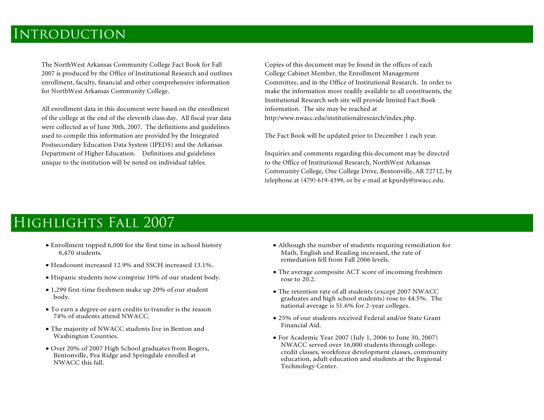## **INTRODUCTION**

The NorthWest Arkansas Community College Fact Book for Fall 2007 is produced by the Office of Institutional Research and outlines enrollment, faculty, financial and other comprehensive information for NorthWest Arkansas Community College.

All enrollment data in this document were based on the enrollment of the college at the end of the eleventh class day. All fiscal year data were collected as of June 30th, 2007. The definitions and guidelines used to compile this information are provided by the Integrated Postsecondary Education Data System (IPEDS) and the Arkansas Department of Higher Education. Definitions and guidelines unique to the institution will be noted on individual tables.

Copies of this document may be found in the offices of each College Cabinet Member, the Enrollment Management Committee, and in the Office of Institutional Research. In order to make the information more readily available to all constituents, the Institutional Research web site will provide limited Fact Book information. The site may be reached at http:/www.nwacc.edu/institutionalresearch/index.php.

The Fact Book will be updated prior to December 1 each year.

Inquiries and comments regarding this document may be directed to the Office of Institutional Research, NorthWest Arkansas Community College, One College Drive, Bentonville, AR 72712, by telephone at (479) 619-4399, or by e-mail at kpurdy@nwacc.edu.

## Highlights Fall 2007

- · Enrollment topped 6,000 for the first time in school history 6,470 students.
- · Headcount increased 12.9% and SSCH increased 13.1%.
- · Hispanic students now comprise 10% of our student body.
- · 1,299 first-time freshmen make up 20% of our student body.
- · To earn a degree or earn credits to transfer is the reason 74% of students attend NWACC.
- · The majority of NWACC students live in Benton and Washington Counties.
- · Over 20% of 2007 High School graduates from Rogers, Bentonville, Pea Ridge and Springdale enrolled at NWACC this fall.
- · Although the number of students requiring remediation for Math, English and Reading increased, the rate of remediation fell from Fall 2006 levels.
- · The average composite ACT score of incoming freshmen rose to 20.2.
- · The retention rate of all students (except 2007 NWACC graduates and high school students) rose to 44.5%. The national average is 51.6% for 2-year colleges.
- · 25% of our students received Federal and/or State Grant Financial Aid.
- · For Academic Year 2007 (July 1, 2006 to June 30, 2007) credit classes, workforce development classes, community education, adult education and students at the Regional Technology Center.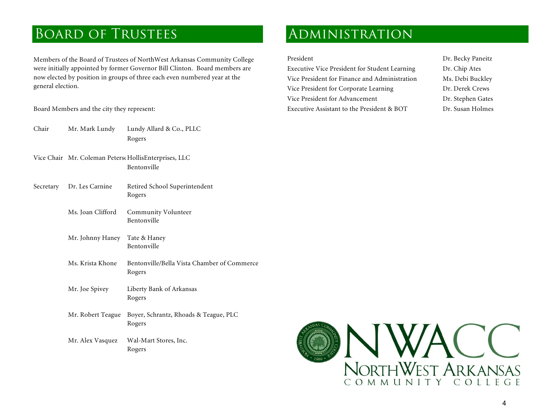## BOARD OF TRUSTEES ADMINISTRATION

Members of the Board of Trustees of NorthWest Arkansas Community College were initially appointed by former Governor Bill Clinton. Board members are now elected by position in groups of three each even numbered year at the general election.

- Chair Mr. Mark Lundy Lundy Allard & Co., PLLC Rogers
- Vice Chair Mr. Coleman Peterso HollisEnterprises, LLC Bentonville
- Secretary Dr. Les Carnine Retired School Superintendent Rogers Ms. Joan Clifford Community Volunteer Bentonville Mr. Johnny Haney Tate & Haney
	-
	- Bentonville<br>Ms. Krista Khone Bentonville/Bella Vista Chamber of Commerce<br>Rogers
	- Mr. Joe Spivey Liberty Bank of Arkansas Rogers
	- Mr. Robert Teague Boyer, Schrantz, Rhoads & Teague, PLC Rogers
	- Mr. Alex Vasquez Wal-Mart Stores, Inc.<br>Rogers

President Dr. Becky Paneitz Executive Vice President for Student Learning Dr. Chip Ates Vice President for Finance and Administration Ms. Debi Buckley Vice President for Corporate Learning Dr. Derek Crews Vice President for Advancement Dr. Stephen Gates Board Members and the city they represent: Executive Assistant to the President & BOT Dr. Susan Holmes

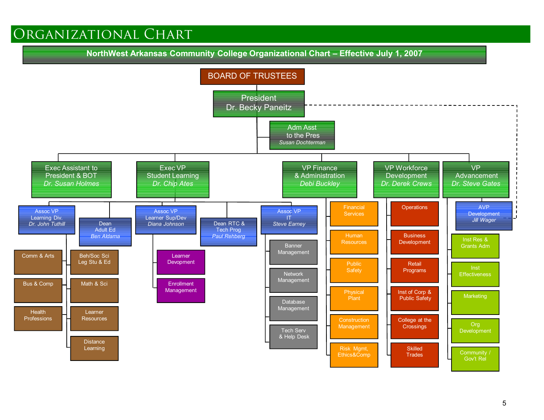## Organizational Chart

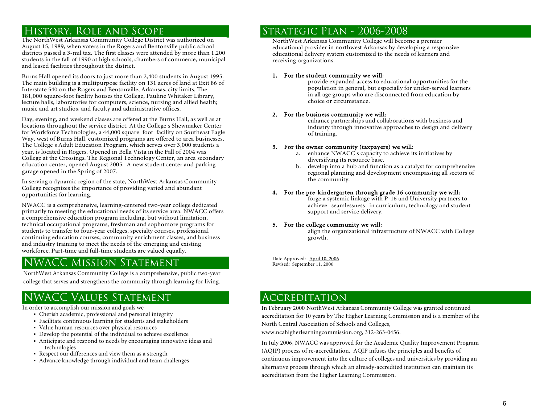The NorthWest Arkansas Community College District was authorized on August 15, 1989, when voters in the Rogers and Bentonville public school districts passed a 3-mil tax. The first classes were attended by more than 1,200 students in the fall of 1990 at high schools, chambers of commerce, municipal and leased facilities throughout the district.

Burns Hall opened its doors to just more than 2,400 students in August 1995. The main building is a multipurpose facility on 131 acres of land at Exit 86 of Interstate 540 on the Rogers and Bentonville, Arkansas, city limits. The 181,000 square-foot facility houses the College, Pauline Whitaker Library, lecture halls, laboratories for computers, science, nursing and allied health; music and art studios, and faculty and administrative offices.

Day, evening, and weekend classes are offered at the Burns Hall, as well as at locations throughout the service district. At the College s Shewmaker Center<br>for Workforce Technologies, a 44,000 square foot facility on Southeast Eagle Way, west of Burns Hall, customized programs are offered to area businesses.<br>The College s Adult Education Program, which serves over 3,000 students a<br>year, is located in Rogers. Opened in Bella Vista in the Fall of 2004 w College at the Crossings. The Regional Technology Center, an area secondary education center, opened August 2005. A new student center and parking garage opened in the Spring of 2007.

In serving a dynamic region of the state, NorthWest Arkansas Community College recognizes the importance of providing varied and abundant opportunities for learning.

NWACC is a comprehensive, learning-centered two-year college dedicated<br>primarily to meeting the educational needs of its service area. NWACC offers a comprehensive education program including, but without limitation, technical occupational programs, freshman and sophomore programs for continuing education courses, community enrichment classes, and business<br>and industry training to meet the needs of the emerging and existing workforce. Part-time and full-time students are valued equally.

## NWACC Mission Statement

NorthWest Arkansas Community College is a comprehensive, public two-year college that serves and strengthens the community through learning for living.

## NWACC Values Statement

In order to accomplish our mission and goals we

- ß Cherish academic, professional and personal integrity
- ß Facilitate continuous learning for students and stakeholders
- ß Value human resources over physical resources
- ß Develop the potential of the individual to achieve excellence
- ß Anticipate and respond to needs by encouraging innovative ideas and technologies
- Respect our differences and view them as a strength
- Advance knowledge through individual and team challenges

## HISTORY, ROLE AND SCOPE STRATEGIC PLAN - 2006-2008

NorthWest Arkansas Community College will become a premier educational provider in northwest Arkansas by developing a responsive educational delivery system customized to the needs of learners and receiving organizations.

### 1. For the student community we will:

provide expanded access to educational opportunities for the population in general, but especially for under-served learners in all age groups who are disconnected from education by choice or circumstance.

2. For the business community we will: enhance partnerships and collaborations with business and industry through innovative approaches to design and delivery of training.

- 3. For the owner community (taxpayers) we will:<br>
a. enhance NWACC s capacity to achieve its initiatives by<br>
diversifying its resource base.
	- b. develop into a hub and function as a catalyst for comprehensive regional planning and development encompassing all sectors of the community.

## 4. For the pre-kindergarten through grade 16 community we will:<br>forge a systemic linkage with P-16 and University partners to

achieve seamlessness in curriculum, technology and student support and service delivery.

### 5. For the college community we will:

align the organizational infrastructure of NWACC with College growth.

Date Approved: April 10, 2006 Revised: September 11, 2006

### **ACCREDITATION**

In February 2000 NorthWest Arkansas Community College was granted continued accreditation for 10 years by The Higher Learning Commission and is a member of the North Central Association of Schools and Colleges, www.ncahigherlearningcommission.org, 312-263-0456.

In July 2006, NWACC was approved for the Academic Quality Improvement Program (AQIP) process of re-accreditation. AQIP infuses the principles and benefits of continuous improvement into the culture of colleges and universities by providing an alternative process through which an already-accredited institution can maintain its accreditation from the Higher Learning Commission.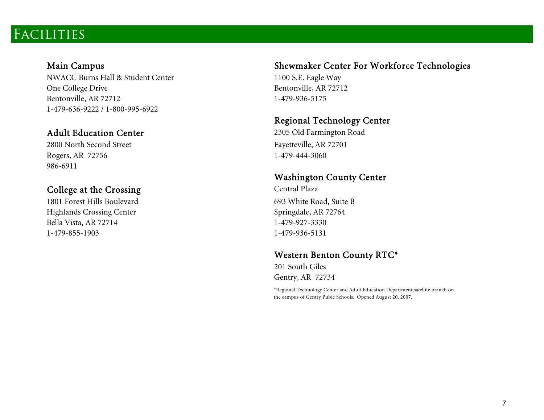## Facilities

NWACC Burns Hall & Student Center 1100 S.E. Eagle Way One College Drive Bentonville, AR 72712 Bentonville, AR 72712 1-479-936-5175 1-479-636-9222 / 1-800-995-6922

2800 North Second Street Fayetteville, AR 72701 Rogers, AR 72756 1-479-444-3060 986-6911

1801 Forest Hills Boulevard 693 White Road, Suite B Highlands Crossing Center Springdale, AR 72764 Bella Vista, AR 72714 1-479-927-3330 1-479-855-1903 1-479-936-5131

### Main Campus Shewmaker Center For Workforce Technologies

# Regional Technology Center<br>Adult Education Center 2305 Old Farmington Road

# Washington County Center<br>College at the Crossing Central Plaza

## Western Benton County RTC\*

201 South Giles Gentry, AR 72734

\*Regional Technology Center and Adult Education Department satellite branch on the campus of Gentry Pubic Schools. Opened August 20, 2007.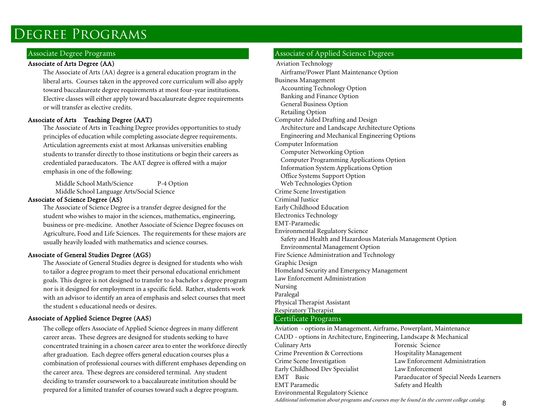## Degree Programs

### Associate of Arts Degree (AA) and Aviation Technology Aviation Technology

The Associate of Arts (AA) degree is a general education program in the liberal arts. Courses taken in the approved core curriculum will also apply toward baccalaureate degree requirements at most four-year institutions. Elective classes will either apply toward baccalaureate degree requirements or will transfer as elective credits.

### Associate of Arts Teaching Degree (AAT)

The Associate of Arts in Teaching Degree provides opportunities to study principles of education while completing associate degree requirements. Articulation agreements exist at most Arkansas universities enabling students to transfer directly to those institutions or begin their careers as credentialed paraeducators. The AAT degree is offered with a major emphasis in one of the following:

Middle School Math/Science P-4 Option Web Technologies Option Middle School Language Arts/Social Science Crime Scene Investigation

### Associate of Science Degree (AS) Criminal Justice

The Associate of Science Degree is a transfer degree designed for the student who wishes to major in the sciences, mathematics, engineering, business or pre-medicine. Another Associate of Science Degree focuses on Agriculture, Food and Life Sciences. The requirements for these majors are usually heavily loaded with mathematics and science courses.

### Associate of General Studies Degree (AGS)

The Associate of General Studies degree is designed for students who wish to tailor a degree program to meet their personal educational enrichment goals. This degree is not designed to transfer to a bachelor s degree program nor is it designed for employment in a specific field. Rather, students work with an advisor to identify an area of emphasis and select courses that meet the student s educational needs or desires.

### Associate of Applied Science Degree (AAS) Certificate Programs

The college offers Associate of Applied Science degrees in many different career areas. These degrees are designed for students seeking to have concentrated training in a chosen career area to enter the workforce directly after graduation. Each degree offers general education courses plus a combination of professional courses with different emphases depending on the career area. These degrees are considered terminal. Any student deciding to transfer coursework to a baccalaureate institution should be prepared for a limited transfer of courses toward such a degree program.

### Associate Degree Programs Associate of Applied Science Degrees

Airframe/Power Plant Maintenance Option Business Management Accounting Technology Option Banking and Finance Option General Business Option Retailing Option<br>Computer Aided Drafting and Design Architecture and Landscape Architecture Options Engineering and Mechanical Engineering Options Computer Information Computer Networking Option Computer Programming Applications Option Information System Applications Option Office Systems Support Option Early Childhood Education Electronics Technology EMT-Paramedic Environmental Regulatory Science Safety and Health and Hazardous Materials Management Option Environmental Management Option Graphic Design Homeland Security and Emergency Management Law Enforcement Administration Nursing Paralegal Physical Therapist Assistant Respiratory Therapist

Aviation - options in Management, Airframe, Powerplant, Maintenance CADD - options in Architecture, Engineering, Landscape & Mechanical Culinary Arts Forensic Science Crime Prevention & Corrections Hospitality Management Crime Scene Investigation Law Enforcement Administration Early Childhood Dev Specialist Law Enforcement EMT Basic Paraeducator of Special Needs Learners EMT Paramedic Safety and Health Environmental Regulatory Science

Additional information about programs and courses may be found in the current college catalog.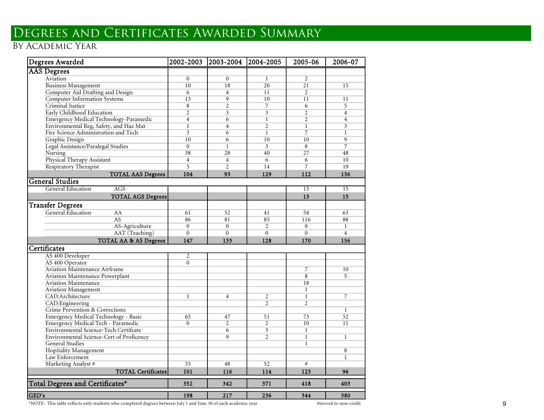## Degrees and Certificates Awarded Sum mary

### by Academic Year

| Degrees Awarded                          | 2002-2003      | 2003-2004               | 2004-2005                | 2005-06         | 2006-07         |
|------------------------------------------|----------------|-------------------------|--------------------------|-----------------|-----------------|
| <b>AAS</b> Degrees                       |                |                         |                          |                 |                 |
| Aviation                                 | $\theta$       | $\theta$                | $\mathbf{1}$             | $\overline{2}$  |                 |
| <b>Business Management</b>               | 10             | 18                      | $\overline{20}$          | 21              | 15              |
| Computer Aid Drafting and Design         | 6              | $\overline{4}$          | 11                       | 2               |                 |
| <b>Computer Information Systems</b>      | 13             | $\overline{9}$          | 10                       | 11              | 11              |
| Criminal Justice                         | $\overline{8}$ | $\overline{2}$          | $\overline{7}$           | 6               | 5               |
| Early Childhood Education                | $\overline{2}$ | $\overline{\mathbf{3}}$ | $\overline{\mathbf{3}}$  | $\overline{2}$  | $\overline{4}$  |
| Emergency Medical Technology-Paramedic   | $\overline{4}$ | $\overline{6}$          | $\overline{1}$           | $\overline{2}$  | $\overline{4}$  |
| Environmental Reg, Safety, and Haz Mat   | $\overline{1}$ | $\overline{4}$          | $\overline{2}$           | $\mathbf{1}$    | $\overline{3}$  |
| Fire Science Administration and Tech     | $\overline{3}$ | 6                       | $\mathbf{1}$             | $\overline{7}$  | $\mathbf{1}$    |
| Graphic Design                           | 10             | $\overline{6}$          | 10                       | $\overline{10}$ | 9               |
| Legal Assistance/Paralegal Studies       | $\mathbf{0}$   | $\mathbf{1}$            | $\overline{3}$           | $\overline{8}$  | $\overline{7}$  |
| Nursing                                  | 38             | 28                      | 40                       | 27              | 48              |
| Physical Therapy Assistant               | $\overline{4}$ | $\overline{4}$          | 6                        | 6               | 10              |
| Respiratory Therapist                    | $\overline{5}$ | $\overline{2}$          | 14                       | $\overline{7}$  | 19              |
| <b>TOTAL AAS Degrees</b>                 | 104            | 93                      | 129                      | 112             | 136             |
| <b>General Studies</b>                   |                |                         |                          |                 |                 |
| <b>General Education</b><br><b>AGS</b>   |                |                         |                          | $\overline{13}$ | $\overline{15}$ |
| <b>TOTAL AGS Degrees</b>                 |                |                         |                          | 13              | 15              |
| <b>Transfer Degrees</b>                  |                |                         |                          |                 |                 |
| General Education<br>AA                  | 61             | 52                      | 41                       | 54              | 63              |
| AS                                       | 86             | 81                      | 85                       | 116             | 88              |
| AS-Agriculture                           | $\mathbf{0}$   | $\mathbf{0}$            | $\overline{2}$           | $\Omega$        | $\mathbf{1}$    |
| AAT (Teaching)                           | $\overline{0}$ | $\overline{0}$          | $\overline{0}$           | $\overline{0}$  | $\overline{4}$  |
| TOTAL AA & AS Degrees                    | 147            | 133                     | 128                      | 170             | 156             |
| Certificates                             |                |                         |                          |                 |                 |
| AS 400 Developer                         | 2              |                         |                          |                 |                 |
| AS 400 Operator                          | $\Omega$       |                         |                          |                 |                 |
| Aviation Maintenance Airframe            |                |                         |                          | $\overline{7}$  | 10              |
| Aviation Maintenance Powerplant          |                |                         |                          | 8               | 5               |
| <b>Aviation Maintenance</b>              |                |                         |                          | 18              |                 |
| <b>Aviation Management</b>               |                |                         |                          | $\mathbf{1}$    |                 |
| CAD:Architecture                         | $\mathbf{1}$   | $\overline{4}$          | $\overline{2}$           | $\mathbf{1}$    | $\overline{7}$  |
| CAD:Engineering                          |                |                         | $\overline{\mathcal{L}}$ | $\overline{2}$  |                 |
| Crime Prevention & Corrections           |                |                         |                          |                 | $\mathbf{1}$    |
| Emergency Medical Technology - Basic     | 65             | 47                      | 51                       | 73              | 52              |
| Emergency Medical Tech - Paramedic       | $\Omega$       | $\overline{2}$          | $\overline{2}$           | 10              | 11              |
| Environmental Science-Tech Certifcate    |                | 6                       | $\overline{3}$           | $\mathbf{1}$    |                 |
| Environmental Science-Cert of Proficency |                | 9                       | $\overline{2}$           | $\overline{1}$  | $\mathbf{1}$    |
| <b>General Studies</b>                   |                |                         |                          | $\mathbf{1}$    |                 |
| Hopitality Management                    |                |                         |                          |                 | $\overline{8}$  |
| Law Enforcement                          |                |                         |                          |                 | $\mathbf{1}$    |
| Marketing Analyst #                      | 33             | 48                      | 52                       | #               |                 |
| <b>TOTAL Certificates</b>                | 101            | 116                     | 114                      | 123             | 96              |
| Total Degrees and Certificates*          | 352            | 342                     | 371                      | 418             | 403             |
| GED's                                    | 198            | 217                     | 236                      | 344             | 380             |

\*NOTE: This table reflects only students who completed degrees between July 1 and June 30 of each academic year #moved to non-credit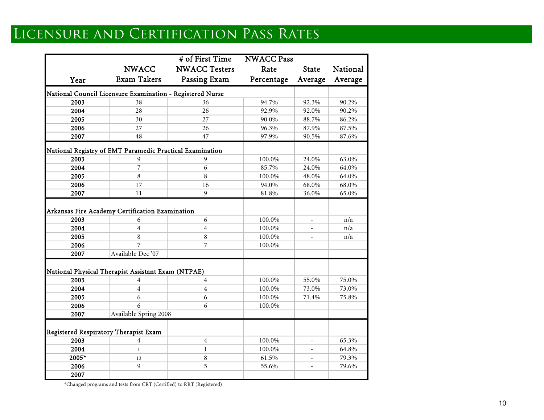# LICENSURE AND CERTIFICATION PASS RATES

|                                                           |                       | # of First Time      | <b>NWACC Pass</b> |                          |          |
|-----------------------------------------------------------|-----------------------|----------------------|-------------------|--------------------------|----------|
|                                                           | <b>NWACC</b>          | <b>NWACC Testers</b> | Rate              | <b>State</b>             | National |
| Year                                                      | <b>Exam Takers</b>    | Passing Exam         | Percentage        | Average                  | Average  |
| National Council Licensure Examination - Registered Nurse |                       |                      |                   |                          |          |
| 2003                                                      | 38                    | 36                   | 94.7%             | 92.3%                    | 90.2%    |
| 2004                                                      | 28                    | 26                   | 92.9%             | 92.0%                    | 90.2%    |
| 2005                                                      | 30                    | 27                   | 90.0%             | 88.7%                    | 86.2%    |
| 2006                                                      | 27                    | 26                   | 96.3%             | 87.9%                    | 87.5%    |
| 2007                                                      | 48                    | 47                   | 97.9%             | 90.5%                    | 87.6%    |
| National Registry of EMT Paramedic Practical Examination  |                       |                      |                   |                          |          |
| 2003                                                      | 9                     | 9                    | 100.0%            | 24.0%                    | 63.0%    |
| 2004                                                      | 7                     | 6                    | 85.7%             | 24.0%                    | 64.0%    |
| 2005                                                      | 8                     | 8                    | 100.0%            | 48.0%                    | 64.0%    |
| 2006                                                      | 17                    | 16                   | 94.0%             | 68.0%                    | 68.0%    |
| 2007                                                      | 11                    | $\mathbf{9}$         | 81.8%             | 36.0%                    | 65.0%    |
| Arkansas Fire Academy Certification Examination           |                       |                      |                   |                          |          |
| 2003                                                      | 6                     | 6                    | 100.0%            | $\overline{\phantom{a}}$ | n/a      |
| 2004                                                      | $\overline{4}$        | $\overline{4}$       | 100.0%            |                          | n/a      |
| 2005                                                      | 8                     | 8                    | 100.0%            | ÷,                       | n/a      |
| 2006                                                      | 7                     | 7                    | 100.0%            |                          |          |
| 2007                                                      | Available Dec '07     |                      |                   |                          |          |
| National Physical Therapist Assistant Exam (NTPAE)        |                       |                      |                   |                          |          |
| 2003                                                      | $\overline{4}$        | $\overline{4}$       | 100.0%            | 55.0%                    | 75.0%    |
| 2004                                                      | $\overline{4}$        | $\overline{4}$       | 100.0%            | 73.0%                    | 73.0%    |
| 2005                                                      | 6                     | 6                    | 100.0%            | 71.4%                    | 75.8%    |
| 2006                                                      | 6                     | 6                    | 100.0%            |                          |          |
| 2007                                                      | Available Spring 2008 |                      |                   |                          |          |
| Registered Respiratory Therapist Exam                     |                       |                      |                   |                          |          |
| 2003                                                      | 4                     | $\overline{4}$       | 100.0%            |                          | 65.3%    |
| 2004                                                      | $\mathbf{1}$          | $\mathbf{1}$         | 100.0%            |                          | 64.8%    |
| 2005*                                                     | 13                    | 8                    | 61.5%             |                          | 79.3%    |
| 2006                                                      | 9                     | 5                    | 55.6%             |                          | 79.6%    |
| 2007                                                      |                       |                      |                   |                          |          |

\*Changed programs and tests from CRT (Certified) to RRT (Registered)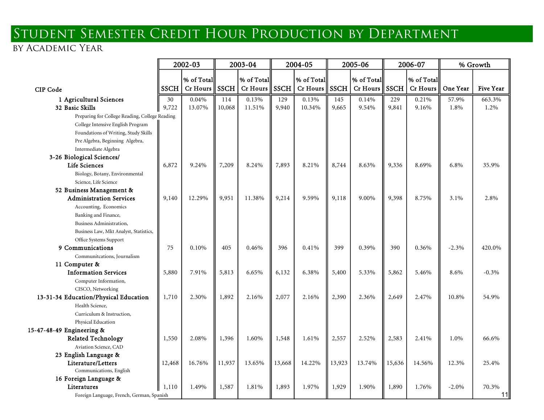# Student Semester Credit Hour Production by Department

## by Academic Year

|                                                |             | 2002-03<br>2003-04 |             |                 | 2004-05     |            | 2005-06     |                                         | 2006-07    |            | % Growth |           |
|------------------------------------------------|-------------|--------------------|-------------|-----------------|-------------|------------|-------------|-----------------------------------------|------------|------------|----------|-----------|
|                                                |             | % of Total         |             | % of Total      |             | % of Total | % of Total  |                                         | % of Total |            |          |           |
|                                                | <b>SSCH</b> | Cr Hours           | <b>SSCH</b> | <b>Cr</b> Hours | <b>SSCH</b> | $Cr$ Hours | <b>SSCH</b> | $Cr$ Hours $\parallel$ SSCH $\parallel$ |            | $Cr$ Hours | One Year | Five Year |
| <b>CIP</b> Code                                |             |                    |             |                 |             |            |             |                                         |            |            |          |           |
| 1 Agricultural Sciences                        | 30          | 0.04%              | 114         | 0.13%           | 129         | 0.13%      | 145         | 0.14%                                   | 229        | 0.21%      | 57.9%    | 663.3%    |
| 32 Basic Skills                                | 9,722       | 13.07%             | 10,068      | 11.51%          | 9,940       | 10.34%     | 9,665       | 9.54%                                   | 9,841      | 9.16%      | 1.8%     | 1.2%      |
| Preparing for College Reading, College Reading |             |                    |             |                 |             |            |             |                                         |            |            |          |           |
| College Intensive English Program              |             |                    |             |                 |             |            |             |                                         |            |            |          |           |
| Foundations of Writing, Study Skills           |             |                    |             |                 |             |            |             |                                         |            |            |          |           |
| Pre Algebra, Beginning Algebra,                |             |                    |             |                 |             |            |             |                                         |            |            |          |           |
| Intermediate Algebra                           |             |                    |             |                 |             |            |             |                                         |            |            |          |           |
| 3-26 Biological Sciences/                      |             |                    |             |                 |             |            |             |                                         |            |            |          |           |
| Life Sciences                                  | 6,872       | 9.24%              | 7,209       | 8.24%           | 7,893       | 8.21%      | 8,744       | 8.63%                                   | 9,336      | 8.69%      | 6.8%     | 35.9%     |
| Biology, Botany, Environmental                 |             |                    |             |                 |             |            |             |                                         |            |            |          |           |
| Science, Life Science                          |             |                    |             |                 |             |            |             |                                         |            |            |          |           |
| 52 Business Management &                       |             |                    |             |                 |             |            |             |                                         |            |            |          |           |
| <b>Administration Services</b>                 | 9,140       | 12.29%             | 9,951       | 11.38%          | 9,214       | 9.59%      | 9,118       | 9.00%                                   | 9,398      | 8.75%      | 3.1%     | 2.8%      |
| Accounting, Economics                          |             |                    |             |                 |             |            |             |                                         |            |            |          |           |
| Banking and Finance,                           |             |                    |             |                 |             |            |             |                                         |            |            |          |           |
| Business Administration,                       |             |                    |             |                 |             |            |             |                                         |            |            |          |           |
| Business Law, Mkt Analyst, Statistics,         |             |                    |             |                 |             |            |             |                                         |            |            |          |           |
| Office Systems Support<br>9 Communications     | 75          | 0.10%              | 405         | 0.46%           | 396         | 0.41%      | 399         | 0.39%                                   | 390        | 0.36%      | $-2.3%$  | 420.0%    |
| Communitcations, Journalism                    |             |                    |             |                 |             |            |             |                                         |            |            |          |           |
| 11 Computer &                                  |             |                    |             |                 |             |            |             |                                         |            |            |          |           |
| <b>Information Services</b>                    | 5,880       | 7.91%              | 5,813       | 6.65%           | 6,132       | 6.38%      | 5,400       | 5.33%                                   | 5,862      | 5.46%      | 8.6%     | $-0.3\%$  |
| Computer Information,                          |             |                    |             |                 |             |            |             |                                         |            |            |          |           |
| CISCO, Networking                              |             |                    |             |                 |             |            |             |                                         |            |            |          |           |
| 13-31-34 Education/Physical Education          | 1,710       | 2.30%              | 1,892       | 2.16%           | 2,077       | 2.16%      | 2,390       | 2.36%                                   | 2,649      | 2.47%      | 10.8%    | 54.9%     |
| Health Science,                                |             |                    |             |                 |             |            |             |                                         |            |            |          |           |
| Curriculum & Instruction.                      |             |                    |             |                 |             |            |             |                                         |            |            |          |           |
| Physical Education                             |             |                    |             |                 |             |            |             |                                         |            |            |          |           |
| 15-47-48-49 Engineering &                      |             |                    |             |                 |             |            |             |                                         |            |            |          |           |
| <b>Related Technology</b>                      | 1,550       | 2.08%              | 1,396       | 1.60%           | 1,548       | 1.61%      | 2,557       | 2.52%                                   | 2,583      | 2.41%      | 1.0%     | 66.6%     |
| Aviation Science, CAD                          |             |                    |             |                 |             |            |             |                                         |            |            |          |           |
| 23 English Language &                          |             |                    |             |                 |             |            |             |                                         |            |            |          |           |
| Literature/Letters                             | 12,468      | 16.76%             | 11,937      | 13.65%          | 13,668      | 14.22%     | 13,923      | 13.74%                                  | 15,636     | 14.56%     | 12.3%    | 25.4%     |
| Communications, English                        |             |                    |             |                 |             |            |             |                                         |            |            |          |           |
| 16 Foreign Language &                          |             |                    |             |                 |             |            |             |                                         |            |            |          |           |
| Literatures                                    | 1,110       | 1.49%              | 1,587       | 1.81%           | 1,893       | 1.97%      | 1,929       | 1.90%                                   | 1,890      | 1.76%      | $-2.0\%$ | 70.3%     |
| Foreign Language, French, German, Spanish      |             |                    |             |                 |             |            |             |                                         |            |            |          | 11        |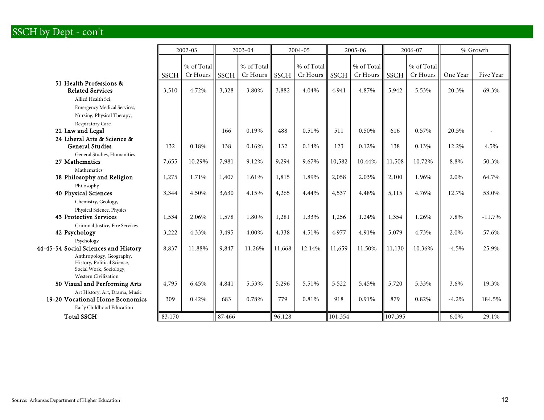## SSCH by Dept - con't

|                                                                                                                                          |             | 2002-03                |             | 2003-04                | 2004-05     |                          | 2005-06     |                        | 2006-07     |                        | % Growth |           |
|------------------------------------------------------------------------------------------------------------------------------------------|-------------|------------------------|-------------|------------------------|-------------|--------------------------|-------------|------------------------|-------------|------------------------|----------|-----------|
|                                                                                                                                          | <b>SSCH</b> | % of Total<br>Cr Hours | <b>SSCH</b> | % of Total<br>Cr Hours | <b>SSCH</b> | % of Total<br>$Cr$ Hours | <b>SSCH</b> | % of Total<br>Cr Hours | <b>SSCH</b> | % of Total<br>Cr Hours | One Year | Five Year |
| 51 Health Professions &<br><b>Related Services</b><br>Allied Health Sci,                                                                 | 3,510       | 4.72%                  | 3,328       | 3.80%                  | 3,882       | 4.04%                    | 4,941       | 4.87%                  | 5,942       | 5.53%                  | 20.3%    | 69.3%     |
| <b>Emergency Medical Services,</b><br>Nursing, Physical Therapy,                                                                         |             |                        |             |                        |             |                          |             |                        |             |                        |          |           |
| Respiratory Care<br>22 Law and Legal                                                                                                     |             |                        | 166         | 0.19%                  | 488         | 0.51%                    | 511         | 0.50%                  | 616         | 0.57%                  | 20.5%    |           |
| 24 Liberal Arts & Science &<br><b>General Studies</b>                                                                                    | 132         | 0.18%                  | 138         | 0.16%                  | 132         | 0.14%                    | 123         | 0.12%                  | 138         | 0.13%                  | 12.2%    | 4.5%      |
| General Studies, Humanities<br>27 Mathematics<br>Mathematics                                                                             | 7,655       | 10.29%                 | 7,981       | 9.12%                  | 9,294       | 9.67%                    | 10,582      | 10.44%                 | 11,508      | 10.72%                 | 8.8%     | 50.3%     |
| 38 Philosophy and Religion                                                                                                               | 1,275       | 1.71%                  | 1,407       | 1.61%                  | 1,815       | 1.89%                    | 2,058       | 2.03%                  | 2,100       | 1.96%                  | 2.0%     | 64.7%     |
| Philosophy<br>40 Physical Sciences<br>Chemistry, Geology,                                                                                | 3,344       | 4.50%                  | 3,630       | 4.15%                  | 4,265       | 4.44%                    | 4,537       | 4.48%                  | 5,115       | 4.76%                  | 12.7%    | 53.0%     |
| Physical Science, Physics<br>43 Protective Services                                                                                      | 1,534       | 2.06%                  | 1,578       | 1.80%                  | 1,281       | 1.33%                    | 1,256       | 1.24%                  | 1,354       | 1.26%                  | 7.8%     | $-11.7%$  |
| Criminal Justice, Fire Services<br>42 Psychology                                                                                         | 3,222       | 4.33%                  | 3,495       | 4.00%                  | 4,338       | 4.51%                    | 4,977       | 4.91%                  | 5,079       | 4.73%                  | 2.0%     | 57.6%     |
| Psychology<br>44-45-54 Social Sciences and History<br>Anthropology, Geography,<br>History, Political Science,<br>Social Work, Sociology, | 8,837       | 11.88%                 | 9,847       | 11.26%                 | 11,668      | 12.14%                   | 11,659      | 11.50%                 | 11,130      | 10.36%                 | $-4.5%$  | 25.9%     |
| <b>Western Civilization</b><br>50 Visual and Performing Arts                                                                             | 4,795       | 6.45%                  | 4,841       | 5.53%                  | 5,296       | 5.51%                    | 5,522       | 5.45%                  | 5,720       | 5.33%                  | 3.6%     | 19.3%     |
| Art History, Art, Drama, Music<br>19-20 Vocational Home Economics<br>Early Childhood Education                                           | 309         | 0.42%                  | 683         | 0.78%                  | 779         | 0.81%                    | 918         | 0.91%                  | 879         | 0.82%                  | $-4.2%$  | 184.5%    |
| <b>Total SSCH</b>                                                                                                                        | 83,170      |                        | 87,466      |                        | 96,128      |                          | 101,354     |                        | 107,395     |                        | 6.0%     | 29.1%     |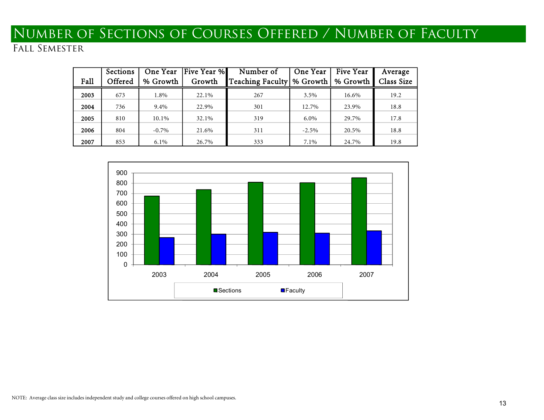# Number of Sections of Courses Offered / Number of Faculty

| Fall | Sections<br>Offered | One Year<br>% Growth | <b>Five Year %</b><br>Growth | Number of<br>Teaching Faculty \ % Growth \ | One Year | Five Year<br>% Growth | Average<br>Class Size |
|------|---------------------|----------------------|------------------------------|--------------------------------------------|----------|-----------------------|-----------------------|
|      |                     |                      |                              |                                            |          |                       |                       |
| 2003 | 673                 | 1.8%                 | 22.1%                        | 267                                        | $3.5\%$  | 16.6%                 | 19.2                  |
| 2004 | 736                 | 9.4%                 | 22.9%                        | 301                                        | 12.7%    | 23.9%                 | 18.8                  |
| 2005 | 810                 | 10.1%                | 32.1%                        | 319                                        | $6.0\%$  | 29.7%                 | 17.8                  |
| 2006 | 804                 | $-0.7\%$             | 21.6%                        | 311                                        | $-2.5\%$ | 20.5%                 | 18.8                  |
| 2007 | 853                 | $6.1\%$              | 26.7%                        | 333                                        | 7.1%     | 24.7%                 | 19.8                  |

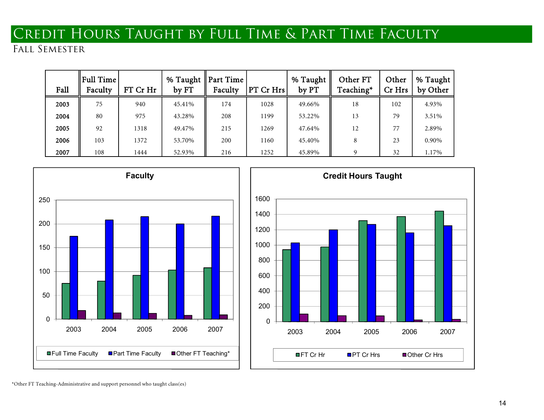# Credit Hours Taught by Full Time & Part Time Faculty

## Fall Semester

| Fall | $\parallel$ Full Time<br>Faculty | FT Cr Hr | % Taught    Part Time<br>by FT | Faculty | PT Cr Hrs | % Taught<br>by PT | Other FT<br>Teaching* | Other<br>Cr Hrs | % Taught<br>by Other |
|------|----------------------------------|----------|--------------------------------|---------|-----------|-------------------|-----------------------|-----------------|----------------------|
| 2003 | 75                               | 940      | 45.41%                         | 174     | 1028      | 49.66%            | 18                    | 102             | 4.93%                |
| 2004 | 80                               | 975      | 43.28%                         | 208     | 1199      | 53.22%            | 13                    | 79              | 3.51%                |
| 2005 | 92                               | 1318     | 49.47%                         | 215     | 1269      | 47.64%            | 12                    | 77              | 2.89%                |
| 2006 | 103                              | 1372     | 53.70%                         | 200     | 1160      | 45.40%            | 8                     | 23              | 0.90%                |
| 2007 | 108                              | 1444     | 52.93%                         | 216     | 1252      | 45.89%            | $\Omega$              | 32              | 1.17%                |





\*Other FT Teaching-Administrative and support personnel who taught class(es)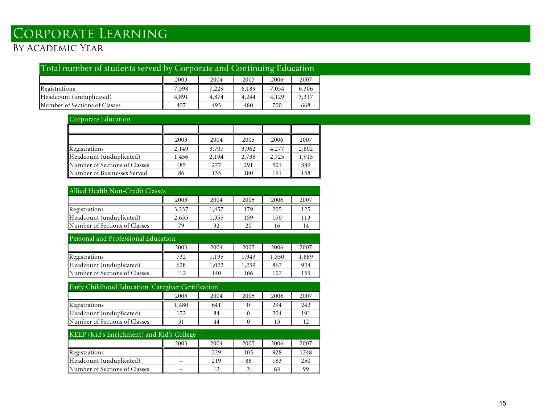# Corporate Learning

## By Academic Year

| Total number of students served by Corporate and Continuing Education |       |       |       |       |       |  |  |  |  |
|-----------------------------------------------------------------------|-------|-------|-------|-------|-------|--|--|--|--|
|                                                                       | 2003  | 2004  | 2005  | 2006  | 2007  |  |  |  |  |
| Registrations                                                         | 7,598 | 7,229 | 6,189 | 7,054 | 6,306 |  |  |  |  |
| Headcount (unduplicated)                                              | 4,891 | 4,874 | 4,244 | 4,129 | 3,317 |  |  |  |  |
| Number of Sections of Classes                                         | 407   | 493   | 480   | 700   | 668   |  |  |  |  |

### Corporate Education

|                               | 2003  | 2004  | 2005  | 2006  | 2007  |
|-------------------------------|-------|-------|-------|-------|-------|
| Registrations                 | 2,149 | 3,707 | 3,962 | 4,277 | 2,802 |
| Headcount (unduplicated)      | 1,456 | 2,194 | 2,738 | 2,725 | 1,915 |
| Number of Sections of Classes | 185   | 277   | 291   | 501   | 389   |
| Number of Businesses Served   | 86    | 135   | 180   | 191   | 158   |

| Allied Health Non-Credit Classes     |       |       |     |     |     |  |  |  |  |  |  |  |
|--------------------------------------|-------|-------|-----|-----|-----|--|--|--|--|--|--|--|
| 2007<br>2003<br>2004<br>2005<br>2006 |       |       |     |     |     |  |  |  |  |  |  |  |
| Registrations                        | 3,237 | 1,457 | 179 | 205 | 125 |  |  |  |  |  |  |  |
| Headcount (unduplicated)             | 2,635 | 1,355 | 159 | 150 | 113 |  |  |  |  |  |  |  |
| Number of Sections of Classes        | 79    | 32    | 20  | 16  | 14  |  |  |  |  |  |  |  |

| Personal and Professional Education  |     |       |       |       |       |  |  |  |  |  |  |  |
|--------------------------------------|-----|-------|-------|-------|-------|--|--|--|--|--|--|--|
| 2007<br>2003<br>2004<br>2005<br>2006 |     |       |       |       |       |  |  |  |  |  |  |  |
| Registrations                        | 732 | 1,195 | 1,943 | 1,350 | 1,889 |  |  |  |  |  |  |  |
| Headcount (unduplicated)             | 628 | 1,022 | 1,259 | 867   | 924   |  |  |  |  |  |  |  |
| Number of Sections of Classes        | 112 | 140   | 166   | 107   | 155   |  |  |  |  |  |  |  |

| Early Childhood Education 'Caregiver Certification' |     |    |  |     |     |  |  |  |  |  |  |  |  |
|-----------------------------------------------------|-----|----|--|-----|-----|--|--|--|--|--|--|--|--|
| 2004<br>2007<br>2006<br>2003<br>2005                |     |    |  |     |     |  |  |  |  |  |  |  |  |
| Registrations<br>242<br>1,480<br>294<br>641         |     |    |  |     |     |  |  |  |  |  |  |  |  |
| Headcount (unduplicated)                            | 172 | 84 |  | 204 | 191 |  |  |  |  |  |  |  |  |
| Number of Sections of Classes                       |     | 44 |  | 13  |     |  |  |  |  |  |  |  |  |

| KEEP (Kid's Enrichment) and Kid's College  |  |     |    |     |     |  |  |  |  |  |  |  |
|--------------------------------------------|--|-----|----|-----|-----|--|--|--|--|--|--|--|
| 2007<br>2004<br>2005<br>2006<br>2003       |  |     |    |     |     |  |  |  |  |  |  |  |
| 229<br>1248<br>105<br>928<br>Registrations |  |     |    |     |     |  |  |  |  |  |  |  |
| Headcount (unduplicated)                   |  | 219 | 88 | 183 | 250 |  |  |  |  |  |  |  |
| Number of Sections of Classes              |  | 12  |    | 63  | 99  |  |  |  |  |  |  |  |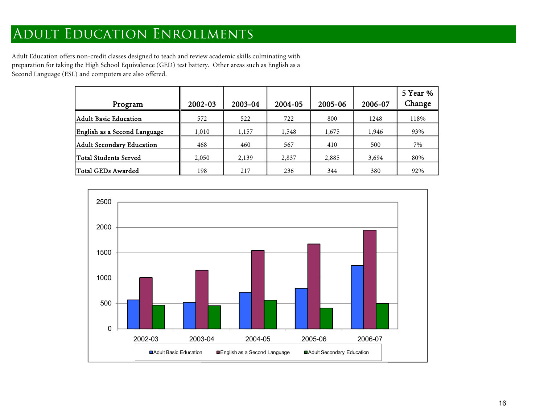## Adult Education Enrollments

Adult Education offers non-credit classes designed to teach and review academic skills culminating with preparation for taking the High School Equivalence (GED) test battery. Other areas such as English as a Second Language (ESL) and computers are also offered.

| Program                      | 2002-03 | 2003-04 | 2004-05 | 2005-06 | 2006-07 | 5 Year %<br>Change |
|------------------------------|---------|---------|---------|---------|---------|--------------------|
| Adult Basic Education        | 572     | 522     | 722     | 800     | 1248    | 118%               |
| English as a Second Language | 1,010   | 1,157   | 1,548   | 1,675   | 1,946   | 93%                |
| Adult Secondary Education    | 468     | 460     | 567     | 410     | 500     | 7%                 |
| Total Students Served        | 2,050   | 2,139   | 2,837   | 2,885   | 3,694   | 80%                |
| Total GEDs Awarded           | 198     | 217     | 236     | 344     | 380     | 92%                |

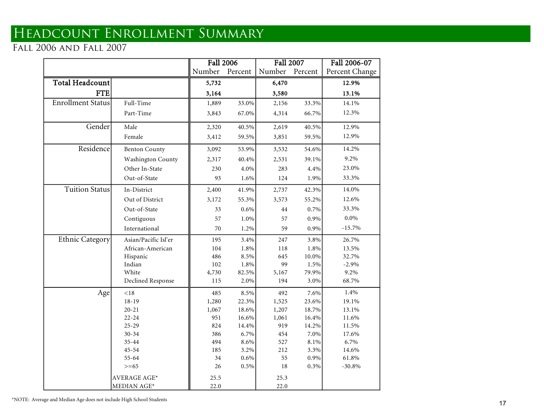# Headcount Enrollment Summary

Fall 2006 and Fall 2007

|                          |                          | <b>Fall 2006</b> |         | <b>Fall 2007</b> |         | Fall 2006-07   |
|--------------------------|--------------------------|------------------|---------|------------------|---------|----------------|
|                          |                          | Number           | Percent | Number           | Percent | Percent Change |
| Total Headcount          |                          | 5,732            |         | 6,470            |         | 12.9%          |
| <b>FTE</b>               |                          | 3,164            |         | 3,580            |         | 13.1%          |
| <b>Enrollment Status</b> | Full-Time                | 1,889            | 33.0%   | 2,156            | 33.3%   | 14.1%          |
|                          | Part-Time                | 3,843            | 67.0%   | 4,314            | 66.7%   | 12.3%          |
| Gender                   | Male                     | 2,320            | 40.5%   | 2,619            | 40.5%   | 12.9%          |
|                          | Female                   | 3,412            | 59.5%   | 3,851            | 59.5%   | 12.9%          |
| Residence                | <b>Benton County</b>     | 3,092            | 53.9%   | 3,532            | 54.6%   | 14.2%          |
|                          | <b>Washington County</b> | 2,317            | 40.4%   | 2,531            | 39.1%   | 9.2%           |
|                          | Other In-State           | 230              | 4.0%    | 283              | 4.4%    | 23.0%          |
|                          | Out-of-State             | 93               | 1.6%    | 124              | 1.9%    | 33.3%          |
| <b>Tuition Status</b>    | In-District              | 2,400            | 41.9%   | 2,737            | 42.3%   | 14.0%          |
|                          | Out of District          | 3,172            | 55.3%   | 3,573            | 55.2%   | 12.6%          |
|                          | Out-of-State             | 33               | $0.6\%$ | 44               | 0.7%    | 33.3%          |
|                          | Contiguous               | 57               | 1.0%    | 57               | 0.9%    | $0.0\%$        |
|                          | International            | 70               | 1.2%    | 59               | 0.9%    | $-15.7\%$      |
| <b>Ethnic Category</b>   | Asian/Pacific Isl'er     | 195              | 3.4%    | 247              | 3.8%    | 26.7%          |
|                          | African-American         | 104              | 1.8%    | 118              | 1.8%    | 13.5%          |
|                          | Hispanic                 | 486              | 8.5%    | 645              | 10.0%   | 32.7%          |
|                          | Indian                   | 102              | 1.8%    | 99               | 1.5%    | $-2.9%$        |
|                          | White                    | 4,730            | 82.5%   | 5,167            | 79.9%   | 9.2%           |
|                          | Declined Response        | 115              | 2.0%    | 194              | 3.0%    | 68.7%          |
| Age                      | < 18                     | 485              | 8.5%    | 492              | 7.6%    | 1.4%           |
|                          | $18 - 19$                | 1,280            | 22.3%   | 1,525            | 23.6%   | 19.1%          |
|                          | $20 - 21$                | 1,067            | 18.6%   | 1,207            | 18.7%   | 13.1%          |
|                          | $22 - 24$                | 951              | 16.6%   | 1,061            | 16.4%   | 11.6%          |
|                          | $25 - 29$                | 824              | 14.4%   | 919              | 14.2%   | 11.5%          |
|                          | $30 - 34$                | 386              | 6.7%    | 454              | 7.0%    | 17.6%          |
|                          | $35 - 44$                | 494              | 8.6%    | 527              | 8.1%    | 6.7%           |
|                          | $45 - 54$                | 185              | 3.2%    | 212              | 3.3%    | 14.6%          |
|                          | 55-64                    | 34               | $0.6\%$ | 55               | 0.9%    | 61.8%          |
|                          | $>= 65$                  | 26               | $0.5\%$ | 18               | $0.3\%$ | $-30.8%$       |
|                          | AVERAGE AGE*             | 25.5             |         | 25.3             |         |                |
|                          | MEDIAN AGE*              | 22.0             |         | 22.0             |         |                |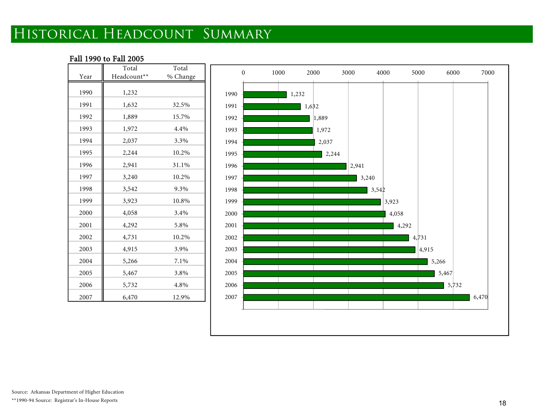# Historical Headcount Summary

### Fall 1990 to Fall 2005

|      | Total       | Total    |
|------|-------------|----------|
| Year | Headcount** | % Change |
| 1990 | 1,232       |          |
| 1991 | 1,632       | 32.5%    |
| 1992 | 1,889       | 15.7%    |
| 1993 | 1,972       | 4.4%     |
| 1994 | 2,037       | 3.3%     |
| 1995 | 2,244       | 10.2%    |
| 1996 | 2,941       | 31.1%    |
| 1997 | 3,240       | 10.2%    |
| 1998 | 3,542       | 9.3%     |
| 1999 | 3,923       | 10.8%    |
| 2000 | 4,058       | 3.4%     |
| 2001 | 4,292       | 5.8%     |
| 2002 | 4,731       | 10.2%    |
| 2003 | 4,915       | 3.9%     |
| 2004 | 5,266       | 7.1%     |
| 2005 | 5,467       | 3.8%     |
| 2006 | 5,732       | 4.8%     |
| 2007 | 6,470       | 12.9%    |

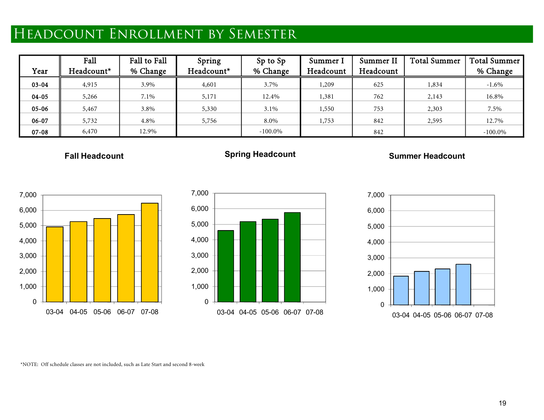# Headcount Enrollment by Semester

| Year      | Fall<br>Headcount* | Fall to Fall<br>% Change | Spring<br>Headcount* | Sp to Sp<br>% Change | Summer I<br>Headcount | Summer II<br>Headcount | <b>Total Summer</b> | <b>Total Summer</b><br>% Change |
|-----------|--------------------|--------------------------|----------------------|----------------------|-----------------------|------------------------|---------------------|---------------------------------|
| $03 - 04$ | 4,915              | 3.9%                     | 4,601                | 3.7%                 | 1,209                 | 625                    | 1,834               | $-1.6\%$                        |
| $04 - 05$ | 5,266              | 7.1%                     | 5,171                | 12.4%                | 1,381                 | 762                    | 2,143               | 16.8%                           |
| $05 - 06$ | 5,467              | 3.8%                     | 5,330                | $3.1\%$              | 1,550                 | 753                    | 2,303               | 7.5%                            |
| 06-07     | 5,732              | 4.8%                     | 5,756                | 8.0%                 | 1,753                 | 842                    | 2,595               | 12.7%                           |
| $07 - 08$ | 6,470              | 12.9%                    |                      | $-100.0\%$           |                       | 842                    |                     | $-100.0\%$                      |

**Fall Headcount**

## **Spring Headcount**

### **Summer Headcount**







\*NOTE: Off schedule classes are not included, such as Late Start and second 8-week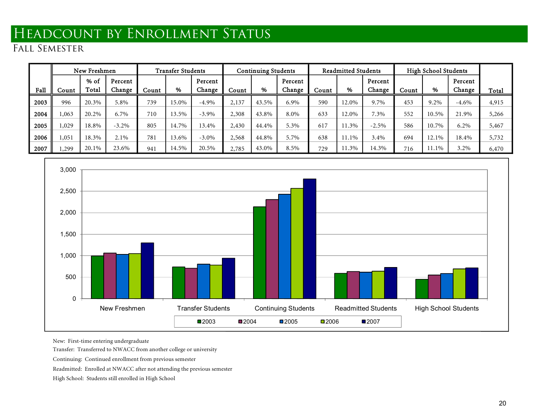# Headcount by Enrollment Status

Fall Semester

|      |       | New Freshmen  |                   |       | <b>Transfer Students</b> |                   |       | <b>Continuing Students</b> |                   |       | <b>Readmitted Students</b> |                   |       | <b>High School Students</b> |                   |       |
|------|-------|---------------|-------------------|-------|--------------------------|-------------------|-------|----------------------------|-------------------|-------|----------------------------|-------------------|-------|-----------------------------|-------------------|-------|
| Fall | Count | % of<br>Total | Percent<br>Change | Count | %                        | Percent<br>Change | Count | %                          | Percent<br>Change | Count | %                          | Percent<br>Change | Count | %                           | Percent<br>Change | Total |
| 2003 | 996   | 20.3%         | 5.8%              | 739   | 15.0%                    | $-4.9%$           | 2,137 | 43.5%                      | 6.9%              | 590   | 12.0%                      | 9.7%              | 453   | 9.2%                        | $-4.6\%$          | 4,915 |
| 2004 | ,063  | 20.2%         | 6.7%              | 710   | 13.5%                    | $-3.9\%$          | 2,308 | 43.8%                      | 8.0%              | 633   | 2.0%                       | 7.3%              | 552   | 10.5%                       | 21.9%             | 5,266 |
| 2005 | ,029  | 18.8%         | $-3.2\%$          | 805   | 14.7%                    | 13.4%             | 2,430 | 44.4%                      | 5.3%              | 617   | 1.3%                       | $-2.5\%$          | 586   | 10.7%                       | $6.2\%$           | 5,467 |
| 2006 | .051  | 18.3%         | 2.1%              | 781   | 13.6%                    | $-3.0\%$          | 2,568 | 44.8%                      | 5.7%              | 638   | 11.1%                      | 3.4%              | 694   | 12.1%                       | 18.4%             | 5,732 |
| 2007 | ,299  | 20.1%         | 23.6%             | 941   | 14.5%                    | 20.5%             | 2,785 | 43.0%                      | 8.5%              | 729   | 1.3%                       | 14.3%             | 716   | 11.1%                       | 3.2%              | 6,470 |



New: First-time entering undergraduate

Transfer: Transferred to NWACC from another college or university

Continuing: Continued enrollment from previous semester Readmitted: Enrolled at NWACC after not attending the previous semester High School: Students still enrolled in High School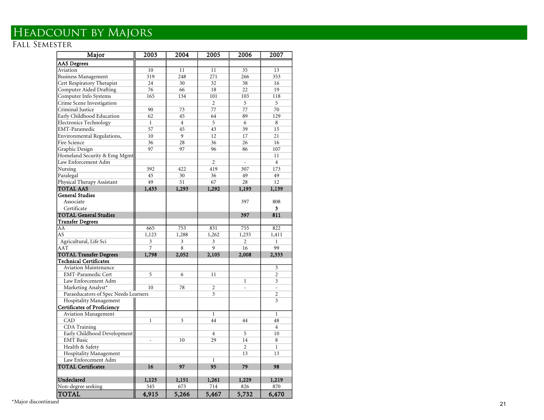## Headcount by Majors

### Fal l Semester

| Major                                | 2003           | 2004           | 2005           | 2006           | 2007                     |
|--------------------------------------|----------------|----------------|----------------|----------------|--------------------------|
| <b>AAS Degrees</b>                   |                |                |                |                |                          |
| Aviation                             | 10             | 11             | 11             | 35             | 13                       |
| <b>Business Management</b>           | 319            | 248            | 271            | 266            | 353                      |
| Cert Respiratory Therapist           | 24             | 30             | 32             | 38             | 16                       |
| <b>Computer Aided Drafting</b>       | 76             | 66             | 18             | 22             | 19                       |
| Computer Info Systems                | 165            | 134            | 101            | 103            | 118                      |
| Crime Scene Investigation            |                |                | $\overline{2}$ | 5              | 5                        |
| Criminal Justice                     | 90             | 73             | 77             | 77             | 70                       |
| Early Childhood Education            | 62             | 45             | 64             | 89             | 129                      |
| <b>Electronics Technology</b>        | $\mathbf{1}$   | $\overline{4}$ | 5              | 6              | 8                        |
| EMT-Paramedic                        | 57             | 45             | 43             | 39             | 15                       |
| Environmental Regulations,           | 10             | 9              | 12             | 17             | 21                       |
| Fire Science                         | 36             | 28             | 36             | 26             | 16                       |
| Graphic Design                       | 97             | 97             | 96             | 86             | 107                      |
| Homeland Security & Emg Mgmt         |                |                |                |                | 11                       |
| Law Enforcement Adm                  |                |                | $\overline{2}$ |                | $\overline{4}$           |
| Nursing                              | 392            | 422            | 419            | 307            | 173                      |
| Paralegal                            | 45             | 30             | 36             | 49             | 49                       |
| Physical Therapy Assistant           | 49             | 51             | 67             | 28             | 12                       |
| <b>TOTAL AAS</b>                     | 1,433          | 1,293          | 1,292          | 1,193          | 1,139                    |
| <b>General Studies</b>               |                |                |                |                |                          |
| Associate                            |                |                |                | 397            | 808                      |
| Certificate                          |                |                |                |                | 3                        |
| <b>TOTAL General Studies</b>         |                |                |                | 397            | 811                      |
| <b>Transfer Degrees</b>              |                |                |                |                |                          |
| AA                                   | 665            | 753            | 831            | 755            | 822                      |
| AS                                   | 1,123          | 1,288          | 1,262          | 1,235          | 1,411                    |
| Agricultural, Life Sci               | 3              | 3              | 3              | $\overline{c}$ | $\mathbf{1}$             |
| AAT                                  | $\overline{7}$ | 8              | 9              | 16             | 99                       |
| <b>TOTAL Transfer Degrees</b>        | 1,798          | 2,052          | 2,105          | 2,008          | 2,333                    |
| <b>Technical Certificates</b>        |                |                |                |                |                          |
| <b>Aviation Maintenance</b>          |                |                |                |                | 3                        |
| <b>EMT-Paramedic Cert</b>            | 5              | 6              | 11             |                | $\overline{c}$           |
| Law Enforcement Adm                  |                |                |                | $\mathbf{1}$   | $\overline{3}$           |
| Marketing Analyst*                   | 10             | 78             | $\overline{2}$ |                | $\overline{\phantom{a}}$ |
| Paraeducators of Spec Needs Learners |                |                | 3              |                | $\overline{c}$           |
| <b>Hospitality Management</b>        |                |                |                |                | 3                        |
| <b>Certificates of Proficiency</b>   |                |                |                |                |                          |
| <b>Aviation Management</b>           |                |                | $\mathbf{1}$   |                | $\mathbf{1}$             |
| CAD                                  | $\mathbf{1}$   | 3              | 44             | 44             | 48                       |
| CDA Training                         |                |                |                |                | $\overline{4}$           |
| Early Childhood Development          |                |                | $\overline{4}$ | 5              | 10                       |
| <b>EMT</b> Basic                     | L,             | 10             | 29             | 14             | 8                        |
| Health & Safety                      |                |                |                | $\overline{c}$ | $\mathbf{1}$             |
| Hospitality Management               |                |                |                | 13             | 13                       |
| Law Enforcement Adm                  |                |                | $\mathbf{1}$   |                |                          |
| <b>TOTAL Certificates</b>            | 16             | 97             | 95             | 79             | 98                       |
| Undeclared                           | 1,123          | 1,151          | 1,261          | 1,229          | 1,219                    |
| Non-degree seeking                   | 545            | 673            | 714            | 826            | 870                      |
| <b>TOTAL</b>                         | 4,915          | 5,266          | 5,467          | 5,732          | 6,470                    |

\*Major discontinued 21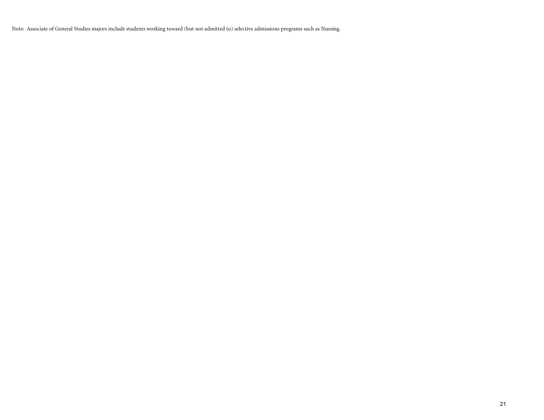Note: Associate of General Studies majors include students working toward (but not admitted to) selective admissions programs such as Nursing.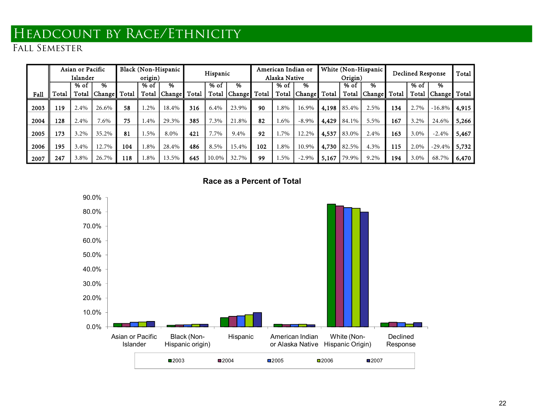# Headcount by Race/Ethnicity

|      |       | Asian or Pacific |       |       |         | Black (Non-Hispanic | Hispanic |        |                | American Indian or<br>White (Non-Hispanic |               |                        |       | Total   |          |       |                          |                 |       |  |
|------|-------|------------------|-------|-------|---------|---------------------|----------|--------|----------------|-------------------------------------------|---------------|------------------------|-------|---------|----------|-------|--------------------------|-----------------|-------|--|
|      |       | Islander         |       |       | origin) |                     |          |        |                |                                           | Alaska Native |                        |       | Origin) |          |       | <b>Declined Response</b> |                 |       |  |
|      |       | % of             | %     |       | % of    | $\%$                |          | $%$ of | %              |                                           | % of          | %                      |       | % of    | %        |       | % of                     | %               |       |  |
| Fall | Total | Total            |       | Total | Total   | . Change            | Total    |        | Total   Change | Total                                     |               | Total   Change   Total |       | Total   | [Change] | Total | Total                    | Change Total    |       |  |
| 2003 | 119   | 2.4%             | 26.6% | 58    | 1.2%    | 18.4%               | 316      | 6.4%   | 23.9%          | 90                                        | 1.8%          | 16.9%                  | 4,198 | 85.4%   | 2.5%     | 134   | 2.7%                     | $-16.8\%$ 4,915 |       |  |
| 2004 | 128   | 2.4%             | 7.6%  | 75    | 1.4%    | 29.3%               | 385      | 7.3%   | 21.8%          | 82                                        | 1.6%          | $-8.9\%$               | 4,429 | 84.1%   | 5.5%     | 167   | 3.2%                     | 24.6%           | 5,266 |  |
| 2005 | 173   | 3.2%             | 35.2% | 81    | .5%     | 8.0%                | 421      | 7.7%   | 9.4%           | 92                                        | 1.7%          | 12.2%                  | 4,537 | 83.0%   | 2.4%     | 163   | 3.0%                     | $-2.4%$         | 5,467 |  |
| 2006 | 195   | 3.4%             | 12.7% | 104   | 1.8%    | 28.4%               | 486      | 8.5%   | 15.4%          | 102                                       | $0.8\%$       | 10.9%                  | 4,730 | 82.5%   | 4.3%     | 115   | 2.0%                     | $-29.4\%$ 5,732 |       |  |
| 2007 | 247   | 3.8%             | 26.7% | 118   | 1.8%    | 13.5%               | 645      | 10.0%  | 32.7%          | 99                                        | 5%            | $-2.9%$                | 5,167 | 79.9%   | 9.2%     | 194   | 3.0%                     | 68.7%           | 6,470 |  |

**Race as a Percent of Total**

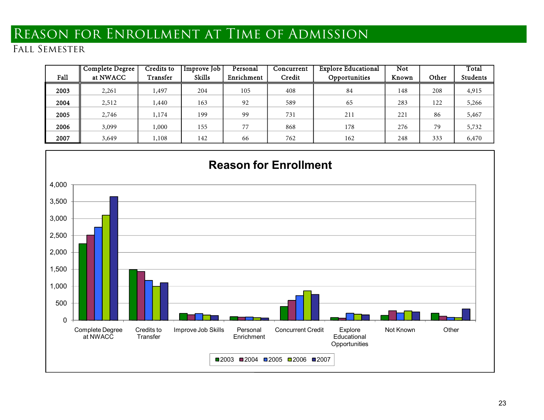# Reason for Enrollment at Time of Admission

| Fall | <b>Complete Degree</b><br>at NWACC | <b>Credits to</b><br>Transfer | Improve Job<br><b>Skills</b> | Personal<br>Enrichment | Concurrent<br>Credit | <b>Explore Educational</b><br>Opportunities | Not<br>Known | Other | Total<br><b>Students</b> |
|------|------------------------------------|-------------------------------|------------------------------|------------------------|----------------------|---------------------------------------------|--------------|-------|--------------------------|
|      |                                    |                               |                              |                        |                      |                                             |              |       |                          |
| 2003 | 2,261                              | 497ء                          | 204                          | 105                    | 408                  | 84                                          | 148          | 208   | 4,915                    |
| 2004 | 2,512                              | 1,440                         | 163                          | 92                     | 589                  | 65                                          | 283          | 122   | 5,266                    |
| 2005 | 2,746                              | 1,174                         | 199                          | 99                     | 731                  | 211                                         | 221          | 86    | 5,467                    |
| 2006 | 3,099                              | 000.1                         | 155                          | 77                     | 868                  | 178                                         | 276          | 79    | 5,732                    |
| 2007 | 3,649                              | 1,108                         | 142                          | 66                     | 762                  | 162                                         | 248          | 333   | 6,470                    |

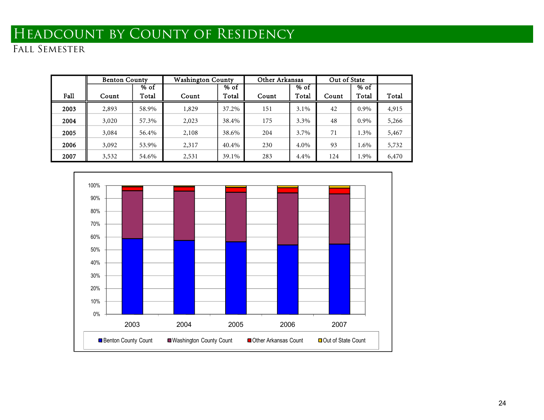# HEADCOUNT BY COUNTY OF RESIDENCY

|      | <b>Benton County</b> |       | <b>Washington County</b> |               | Other Arkansas |         | Out of State |       |       |
|------|----------------------|-------|--------------------------|---------------|----------------|---------|--------------|-------|-------|
|      |                      | % of  |                          | $\sqrt{6}$ of |                | $%$ of  |              | % of  |       |
| Fall | Count                | Total | Count                    | Total         | Count          | Total   | Count        | Total | Total |
| 2003 | 2,893                | 58.9% | 1,829                    | 37.2%         | 151            | $3.1\%$ | 42           | 0.9%  | 4,915 |
| 2004 | 3,020                | 57.3% | 2,023                    | 38.4%         | 175            | 3.3%    | 48           | 0.9%  | 5,266 |
| 2005 | 3,084                | 56.4% | 2,108                    | 38.6%         | 204            | 3.7%    | 71           | 1.3%  | 5,467 |
| 2006 | 3,092                | 53.9% | 2,317                    | 40.4%         | 230            | 4.0%    | 93           | 1.6%  | 5,732 |
| 2007 | 3,532                | 54.6% | 2,531                    | 39.1%         | 283            | 4.4%    | 124          | 1.9%  | 6,470 |

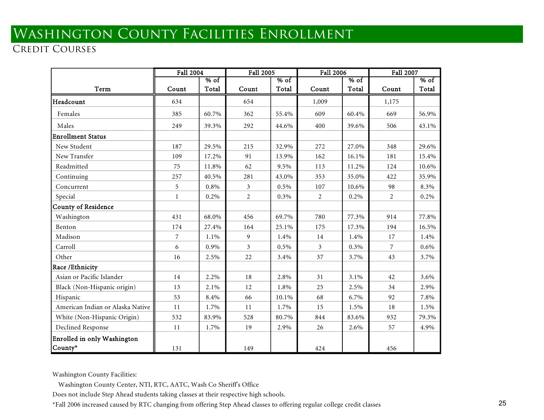# Washington County Facilities Enrollment

## CREDIT COURSES

|                                  | <b>Fall 2004</b> |        | Fall 2005      |        | Fall 2006      |        | Fall 2007      |         |
|----------------------------------|------------------|--------|----------------|--------|----------------|--------|----------------|---------|
|                                  |                  | $%$ of |                | $%$ of |                | $%$ of |                | $%$ of  |
| Term                             | Count            | Total  | Count          | Total  | Count          | Total  | Count          | Total   |
| Headcount                        | 634              |        | 654            |        | 1,009          |        | 1,175          |         |
| Females                          | 385              | 60.7%  | 362            | 55.4%  | 609            | 60.4%  | 669            | 56.9%   |
| Males                            | 249              | 39.3%  | 292            | 44.6%  | 400            | 39.6%  | 506            | 43.1%   |
| <b>Enrollment Status</b>         |                  |        |                |        |                |        |                |         |
| New Student                      | 187              | 29.5%  | 215            | 32.9%  | 272            | 27.0%  | 348            | 29.6%   |
| New Transfer                     | 109              | 17.2%  | 91             | 13.9%  | 162            | 16.1%  | 181            | 15.4%   |
| Readmitted                       | 75               | 11.8%  | 62             | 9.5%   | 113            | 11.2%  | 124            | 10.6%   |
| Continuing                       | 257              | 40.5%  | 281            | 43.0%  | 353            | 35.0%  | 422            | 35.9%   |
| Concurrent                       | 5                | 0.8%   | 3              | 0.5%   | 107            | 10.6%  | 98             | 8.3%    |
| Special                          | 1                | 0.2%   | 2              | 0.3%   | 2              | 0.2%   | 2              | 0.2%    |
| <b>County of Residence</b>       |                  |        |                |        |                |        |                |         |
| Washington                       | 431              | 68.0%  | 456            | 69.7%  | 780            | 77.3%  | 914            | 77.8%   |
| Benton                           | 174              | 27.4%  | 164            | 25.1%  | 175            | 17.3%  | 194            | 16.5%   |
| Madison                          | 7                | 1.1%   | 9              | 1.4%   | 14             | 1.4%   | 17             | 1.4%    |
| Carroll                          | 6                | 0.9%   | $\mathfrak{Z}$ | 0.5%   | $\mathfrak{Z}$ | 0.3%   | $\overline{7}$ | $0.6\%$ |
| Other                            | 16               | 2.5%   | 22             | 3.4%   | 37             | 3.7%   | 43             | 3.7%    |
| Race / Ethnicity                 |                  |        |                |        |                |        |                |         |
| Asian or Pacific Islander        | 14               | 2.2%   | 18             | 2.8%   | 31             | 3.1%   | 42             | 3.6%    |
| Black (Non-Hispanic origin)      | 13               | 2.1%   | 12             | 1.8%   | 25             | 2.5%   | 34             | 2.9%    |
| Hispanic                         | 53               | 8.4%   | 66             | 10.1%  | 68             | 6.7%   | 92             | 7.8%    |
| American Indian or Alaska Native | 11               | 1.7%   | 11             | 1.7%   | 15             | 1.5%   | 18             | 1.5%    |
| White (Non-Hispanic Origin)      | 532              | 83.9%  | 528            | 80.7%  | 844            | 83.6%  | 932            | 79.3%   |
| Declined Response                | 11               | 1.7%   | 19             | 2.9%   | 26             | 2.6%   | 57             | 4.9%    |
| Enrolled in only Washington      |                  |        |                |        |                |        |                |         |
| County*                          | 131              |        | 149            |        | 424            |        | 456            |         |

Washington County Facilities:<br>Washington County Center, NTI, RTC, AATC, Wash Co Sheriff's Office<br>Does not include Step Ahead students taking classes at their respective high schools.

\*Fall 2006 increased caused by RTC changing from offering Step Ahead classes to offering regular college credit classes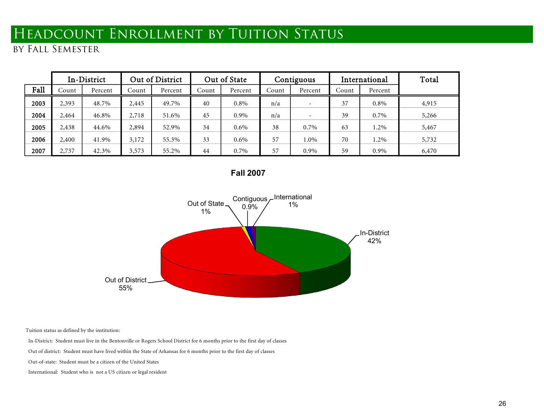# HEADCOUNT ENROLLMENT BY TUITION STATUS

by Fall Semester

|      |       | In-District |       | Out of District |       | Out of State |       | Contiguous               |       | International | Total |
|------|-------|-------------|-------|-----------------|-------|--------------|-------|--------------------------|-------|---------------|-------|
| Fall | Count | Percent     | Count | Percent         | Count | Percent      | Count | Percent                  | Count | Percent       |       |
| 2003 | 2,393 | 48.7%       | 2,445 | 49.7%           | 40    | $0.8\%$      | n/a   | -                        | 37    | 0.8%          | 4,915 |
| 2004 | 2,464 | 46.8%       | 2,718 | 51.6%           | 45    | $0.9\%$      | n/a   | $\overline{\phantom{a}}$ | 39    | 0.7%          | 5,266 |
| 2005 | 2,438 | 44.6%       | 2,894 | 52.9%           | 34    | $0.6\%$      | 38    | 0.7%                     | 63    | 1.2%          | 5,467 |
| 2006 | 2,400 | 41.9%       | 3,172 | 55.3%           | 33    | $0.6\%$      | 57    | 1.0%                     | 70    | 1.2%          | 5,732 |
| 2007 | 2,737 | 42.3%       | 3,573 | 55.2%           | 44    | $0.7\%$      | 57    | 0.9%                     | 59    | 0.9%          | 6,470 |

**Fall 2007**



Tuition status as defined by the institution:

In-District: Student must live in the Bentonville or Rogers School District for 6 months prior to the first day of classes

Out of district: Student must have lived within the State of Arkansas for 6 months prior to the first day of classes

Out-of-state: Student must be a citizen of the United States

International: Student who is not a US citizen or legal resident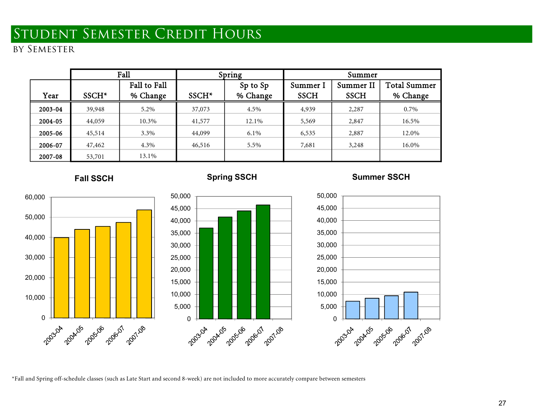# Student Semester Credit Hours

## by Semester

|         |                   | Fall                     |                   | Spring               | Summer                  |                          |                                 |  |  |  |
|---------|-------------------|--------------------------|-------------------|----------------------|-------------------------|--------------------------|---------------------------------|--|--|--|
| Year    | SSCH <sup>*</sup> | Fall to Fall<br>% Change | SSCH <sup>*</sup> | Sp to Sp<br>% Change | Summer I<br><b>SSCH</b> | Summer II<br><b>SSCH</b> | <b>Total Summer</b><br>% Change |  |  |  |
|         |                   |                          |                   |                      |                         |                          |                                 |  |  |  |
| 2003-04 | 39,948            | 5.2%                     | 37,073            | 4.5%                 | 4,939                   | 2,287                    | 0.7%                            |  |  |  |
| 2004-05 | 44,059            | 10.3%                    | 41,577            | 12.1%                | 5,569                   | 2,847                    | 16.5%                           |  |  |  |
| 2005-06 | 45,514            | 3.3%                     | 44,099            | $6.1\%$              | 6,535                   | 2,887                    | 12.0%                           |  |  |  |
| 2006-07 | 47,462            | 4.3%                     | 46,516            | 5.5%                 | 7,681                   | 3,248                    | 16.0%                           |  |  |  |
| 2007-08 | 13.1%<br>53,701   |                          |                   |                      |                         |                          |                                 |  |  |  |

# 2030 204 205 206 201 201 20 10,000 20,000 30,000 40,000 50,000 60,000

### **Fall SSCH**



### **Summer SSCH**



\*Fall and Spring off-schedule classes (such as Late Start and second 8-week) are not included to more accurately compare between semesters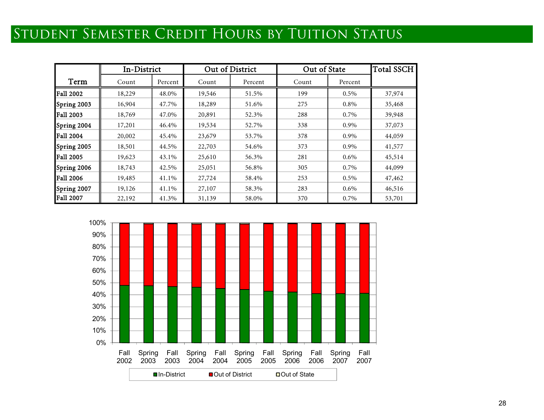# Student Semester Credit Hours by Tuition Status

|                  | In-District |         |        | Out of District | Out of State |         | <b>Total SSCH</b> |
|------------------|-------------|---------|--------|-----------------|--------------|---------|-------------------|
| Term             | Count       | Percent | Count  | Percent         | Count        | Percent |                   |
| <b>Fall 2002</b> | 18,229      | 48.0%   | 19,546 | 51.5%           | 199          | $0.5\%$ | 37,974            |
| Spring 2003      | 16,904      | 47.7%   | 18,289 | 51.6%           | 275          | $0.8\%$ | 35,468            |
| <b>Fall 2003</b> | 18,769      | 47.0%   | 20,891 | 52.3%           | 288          | 0.7%    | 39,948            |
| Spring 2004      | 17,201      | 46.4%   | 19,534 | 52.7%           | 338          | 0.9%    | 37,073            |
| <b>Fall 2004</b> | 20,002      | 45.4%   | 23,679 | 53.7%           | 378          | 0.9%    | 44,059            |
| Spring 2005      | 18,501      | 44.5%   | 22,703 | 54.6%           | 373          | 0.9%    | 41,577            |
| <b>Fall 2005</b> | 19,623      | 43.1%   | 25,610 | 56.3%           | 281          | $0.6\%$ | 45,514            |
| Spring 2006      | 18,743      | 42.5%   | 25,051 | 56.8%           | 305          | 0.7%    | 44,099            |
| <b>Fall 2006</b> | 19,485      | 41.1%   | 27,724 | 58.4%           | 253          | $0.5\%$ | 47,462            |
| Spring 2007      | 19,126      | 41.1%   | 27,107 | 58.3%           | 283          | $0.6\%$ | 46,516            |
| <b>Fall 2007</b> | 22,192      | 41.3%   | 31,139 | 58.0%           | 370          | 0.7%    | 53,701            |

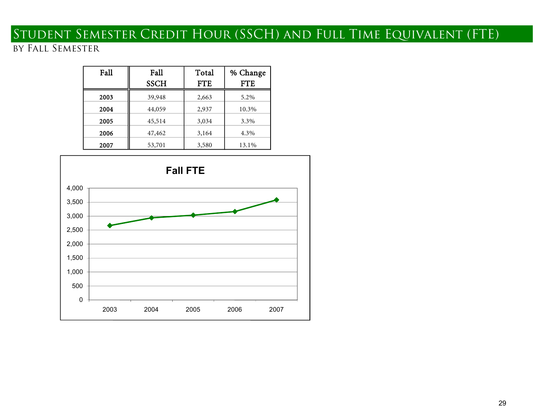# Student Semester Credit Hour (SSCH) and Full Time Equivalent (FTE)

## by Fall Semester

| Fall | Fall<br><b>SSCH</b> | Total<br><b>FTE</b> | % Change<br><b>FTE</b> |
|------|---------------------|---------------------|------------------------|
|      |                     |                     |                        |
| 2003 | 39,948              | 2,663               | 5.2%                   |
| 2004 | 44,059              | 2,937               | 10.3%                  |
| 2005 | 45,514              | 3,034               | 3.3%                   |
| 2006 | 47,462              | 3,164               | 4.3%                   |
| 2007 | 53,701              | 3,580               | 13.1%                  |

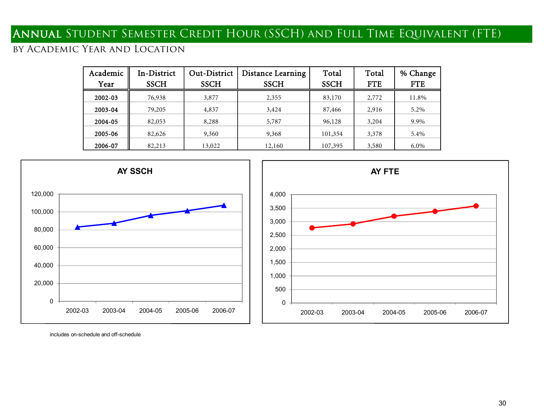## Annual Student Semester Credit Hour (SSCH) and Full Time Equivalent (FTE)

## by Academic Year and Location

| Academic<br>Year | In-District<br><b>SSCH</b> | Out-District<br><b>SSCH</b> | Distance Learning<br><b>SSCH</b> | Total<br><b>SSCH</b> | Total<br><b>FTE</b> | % Change<br><b>FTE</b> |
|------------------|----------------------------|-----------------------------|----------------------------------|----------------------|---------------------|------------------------|
| 2002-03          | 76,938                     | 3,877                       | 2,355                            | 83,170               | 2,772               | 11.8%                  |
| 2003-04          | 79,205                     | 4,837                       | 3,424                            | 87,466               | 2,916               | 5.2%                   |
| 2004-05          | 82,053                     | 8,288                       | 5,787                            | 96,128               | 3,204               | 9.9%                   |
| 2005-06          | 82,626                     | 9,360                       | 9,368                            | 101,354              | 3,378               | 5.4%                   |
| 2006-07          | 82,213                     | 13,022                      | 12,160                           | 107,395              | 3,580               | 6.0%                   |





includes on-schedule and off-schedule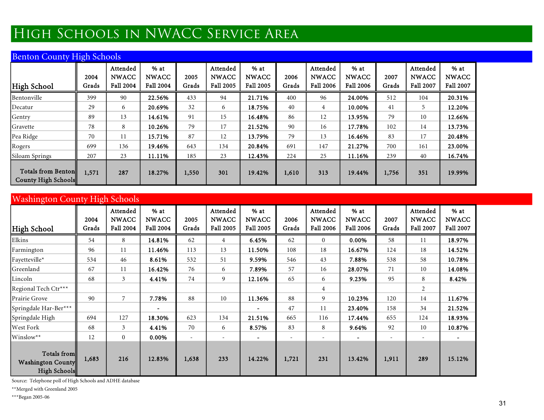# High Schools in NWACC Service Area

## Benton County High Schools

| <b>High School</b>                               | 2004<br>Grads | Attended<br><b>NWACC</b><br>Fall 2004 | $%$ at<br><b>NWACC</b><br><b>Fall 2004</b> | 2005<br>Grads | Attended<br><b>NWACC</b><br><b>Fall 2005</b> | $%$ at<br><b>NWACC</b><br>Fall 2005 | 2006<br>Grads | Attended<br><b>NWACC</b><br>Fall 2006 | $%$ at<br><b>NWACC</b><br>Fall 2006 | 2007<br>Grads | Attended<br><b>NWACC</b><br>Fall 2007 | $%$ at<br><b>NWACC</b><br>Fall 2007 |
|--------------------------------------------------|---------------|---------------------------------------|--------------------------------------------|---------------|----------------------------------------------|-------------------------------------|---------------|---------------------------------------|-------------------------------------|---------------|---------------------------------------|-------------------------------------|
| Bentonville                                      | 399           | 90                                    | 22.56%                                     | 433           | 94                                           | 21.71%                              | 400           | 96                                    | 24.00%                              | 512           | 104                                   | 20.31%                              |
| Decatur                                          | 29            | 6                                     | 20.69%                                     | 32            | 6                                            | 18.75%                              | 40            | $\overline{4}$                        | 10.00%                              | 41            | 5                                     | 12.20%                              |
| Gentry                                           | 89            | 13                                    | 14.61%                                     | 91            | 15                                           | 16.48%                              | 86            | 12                                    | 13.95%                              | 79            | 10                                    | 12.66%                              |
| Gravette                                         | 78            | 8                                     | 10.26%                                     | 79            | 17                                           | 21.52%                              | 90            | 16                                    | 17.78%                              | 102           | 14                                    | 13.73%                              |
| Pea Ridge                                        | 70            | 11                                    | 15.71%                                     | 87            | 12                                           | 13.79%                              | 79            | 13                                    | 16.46%                              | 83            | 17                                    | 20.48%                              |
| Rogers                                           | 699           | 136                                   | 19.46%                                     | 643           | 134                                          | 20.84%                              | 691           | 147                                   | 21.27%                              | 700           | 161                                   | 23.00%                              |
| Siloam Springs                                   | 207           | 23                                    | 11.11%                                     | 185           | 23                                           | 12.43%                              | 224           | 25                                    | 11.16%                              | 239           | 40                                    | 16.74%                              |
| <b>Totals from Benton</b><br>County High Schools | 1,571         | 287                                   | 18.27%                                     | 1,550         | 301                                          | 19.42%                              | 1,610         | 313                                   | 19.44%                              | 1,756         | 351                                   | 19.99%                              |

| <b>Washington County High Schools</b>                   |               |                                       |                                            |                          |                                       |                                     |               |                                       |                                     |               |                                       |                                     |  |
|---------------------------------------------------------|---------------|---------------------------------------|--------------------------------------------|--------------------------|---------------------------------------|-------------------------------------|---------------|---------------------------------------|-------------------------------------|---------------|---------------------------------------|-------------------------------------|--|
| <b>High School</b>                                      | 2004<br>Grads | Attended<br><b>NWACC</b><br>Fall 2004 | $%$ at<br><b>NWACC</b><br><b>Fall 2004</b> | 2005<br>Grads            | Attended<br><b>NWACC</b><br>Fall 2005 | $%$ at<br><b>NWACC</b><br>Fall 2005 | 2006<br>Grads | Attended<br><b>NWACC</b><br>Fall 2006 | $%$ at<br><b>NWACC</b><br>Fall 2006 | 2007<br>Grads | Attended<br><b>NWACC</b><br>Fall 2007 | $%$ at<br><b>NWACC</b><br>Fall 2007 |  |
| Elkins                                                  | 54            | 8                                     | 14.81%                                     | 62                       | 4                                     | 6.45%                               | 62            | $\overline{0}$                        | 0.00%                               | 58            | 11                                    | 18.97%                              |  |
| Farmington                                              | 96            | 11                                    | 11.46%                                     | 113                      | 13                                    | 11.50%                              | 108           | 18                                    | 16.67%                              | 124           | 18                                    | 14.52%                              |  |
| Fayetteville*                                           | 534           | 46                                    | 8.61%                                      | 532                      | 51                                    | 9.59%                               | 546           | 43                                    | 7.88%                               | 538           | 58                                    | 10.78%                              |  |
| Greenland                                               | 67            | 11                                    | 16.42%                                     | 76                       | 6                                     | 7.89%                               | 57            | 16                                    | 28.07%                              | 71            | 10                                    | 14.08%                              |  |
| Lincoln                                                 | 68            | 3                                     | 4.41%                                      | 74                       | 9                                     | 12.16%                              | 65            | 6                                     | 9.23%                               | 95            | 8                                     | 8.42%                               |  |
| Regional Tech Ctr***                                    |               |                                       |                                            |                          |                                       |                                     |               | 4                                     |                                     |               | $\overline{2}$                        |                                     |  |
| Prairie Grove                                           | 90            | $\overline{7}$                        | 7.78%                                      | 88                       | 10                                    | 11.36%                              | 88            | 9                                     | 10.23%                              | 120           | 14                                    | 11.67%                              |  |
| Springdale Har-Ber***                                   |               |                                       |                                            |                          |                                       |                                     | 47            | 11                                    | 23.40%                              | 158           | 34                                    | 21.52%                              |  |
| Springdale High                                         | 694           | 127                                   | 18.30%                                     | 623                      | 134                                   | 21.51%                              | 665           | 116                                   | 17.44%                              | 655           | 124                                   | 18.93%                              |  |
| West Fork                                               | 68            | 3                                     | 4.41%                                      | 70                       | 6                                     | 8.57%                               | 83            | 8                                     | 9.64%                               | 92            | 10                                    | 10.87%                              |  |
| Winslow**                                               | 12            | $\mathbf{0}$                          | 0.00%                                      | $\overline{\phantom{0}}$ |                                       |                                     |               |                                       |                                     |               |                                       |                                     |  |
| Totals from<br><b>Washington County</b><br>High Schools | 1,683         | 216                                   | 12.83%                                     | 1,638                    | 233                                   | 14.22%                              | 1,721         | 231                                   | 13.42%                              | 1,911         | 289                                   | 15.12%                              |  |

Source: Telephone poll of High Schools and ADHE database

\*\*Merged with Greenland 2005

\*\*\*Began 2005-06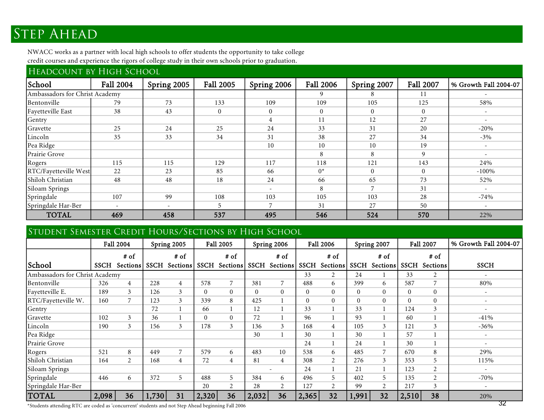# **STEP AHEAD**

NWACC works as a partner with local high schools to offer students the opportunity to take college credit courses and experience the rigors of college study in their own schools prior to graduation.

| HEADCOUNT BY HIGH SCHOOL       |           |             |                  |                          |                  |                |                  |                          |  |  |  |  |  |
|--------------------------------|-----------|-------------|------------------|--------------------------|------------------|----------------|------------------|--------------------------|--|--|--|--|--|
| School                         | Fall 2004 | Spring 2005 | <b>Fall 2005</b> | Spring 2006              | <b>Fall 2006</b> | Spring 2007    | <b>Fall 2007</b> | % Growth Fall 2004-07    |  |  |  |  |  |
| Ambassadors for Christ Academy |           |             |                  |                          | 9                |                | -11              |                          |  |  |  |  |  |
| Bentonville                    | 79        | 73          | 133              | 109                      | 109              | 105            | 125              | 58%                      |  |  |  |  |  |
| Fayetteville East              | 38        | 43          | $\boldsymbol{0}$ | $\overline{0}$           | $\Omega$         | $\Omega$       | $\Omega$         | $\overline{\phantom{a}}$ |  |  |  |  |  |
| Gentry                         |           |             |                  | 4                        | 11               | 12             | 27               | $\sim$                   |  |  |  |  |  |
| Gravette                       | 25        | 24          | 25               | 24                       | 33               | 31             | 20               | $-20%$                   |  |  |  |  |  |
| Lincoln                        | 35        | 33          | 34               | 31                       | 38               | 27             | 34               | $-3\%$                   |  |  |  |  |  |
| Pea Ridge                      |           |             |                  | 10                       | 10               | 10             | 19               | $\overline{\phantom{a}}$ |  |  |  |  |  |
| Prairie Grove                  |           |             |                  |                          | 8                | 8              | 9                | $\overline{\phantom{a}}$ |  |  |  |  |  |
| Rogers                         | 115       | 115         | 129              | 117                      | 118              | 121            | 143              | 24%                      |  |  |  |  |  |
| RTC/Fayetteville West          | 22        | 23          | 85               | 66                       | $0^*$            | $\Omega$       | $\Omega$         | $-100\%$                 |  |  |  |  |  |
| Shiloh Christian               | 48        | 48          | 18               | 24                       | 66               | 65             | 73               | 52%                      |  |  |  |  |  |
| Siloam Springs                 |           |             |                  | $\overline{\phantom{a}}$ | 8                | $\overline{7}$ | 31               | $\overline{\phantom{a}}$ |  |  |  |  |  |
| Springdale                     | 107       | 99          | 108              | 103                      | 105              | 103            | 28               | $-74%$                   |  |  |  |  |  |
| Springdale Har-Ber             |           |             | 5                |                          | 31               | 27             | 50               |                          |  |  |  |  |  |
| <b>TOTAL</b>                   | 469       | 458         | 537              | 495                      | 546              | 524            | 570              | 22%                      |  |  |  |  |  |

## STUDENT SEMESTER CREDIT HOURS/SECTIONS BY HIGH SCHOOL

|                                |             | <b>Fall 2004</b> |       | Spring 2005    |             | <b>Fall 2005</b> |             | Spring 2006    |                | Fall 2006      |             | Spring 2007    |             | Fall 2007 | % Growth Fall 2004-07    |
|--------------------------------|-------------|------------------|-------|----------------|-------------|------------------|-------------|----------------|----------------|----------------|-------------|----------------|-------------|-----------|--------------------------|
|                                |             | # of             |       | # of           |             | # of             |             | # of           |                | # of           |             | # of           |             | # of      |                          |
| School                         | <b>SSCH</b> | Sections         |       | SSCH Sections  | <b>SSCH</b> | Sections         | <b>SSCH</b> | Sections       | <b>SSCH</b>    | Sections       | <b>SSCH</b> | Sections       | <b>SSCH</b> | Sections  | <b>SSCH</b>              |
| Ambassadors for Christ Academy |             |                  |       |                |             |                  |             |                | 33             | $\overline{2}$ | 24          |                | 33          | 2         |                          |
| Bentonville                    | 326         | $\overline{4}$   | 228   | 4              | 578         | $\overline{7}$   | 381         | 7              | 488            | 6              | 399         | 6              | 587         | 7         | 80%                      |
| Fayetteville E.                | 189         | 3                | 126   | 3              | $\Omega$    | $\theta$         | $\Omega$    | $\overline{0}$ | $\Omega$       | $\overline{0}$ | $\Omega$    | $\Omega$       | $\Omega$    | $\Omega$  |                          |
| RTC/Fayetteville W.            | 160         | 7                | 123   | 3              | 339         | 8                | 425         |                | $\overline{0}$ | $\overline{0}$ | $\Omega$    | $\Omega$       | $\theta$    | $\Omega$  | $\overline{\phantom{a}}$ |
| Gentry                         |             |                  | 72    |                | 66          |                  | 12          | 1              | 33             |                | 33          |                | 124         | 3         |                          |
| Gravette                       | 102         | 3                | 36    |                |             | $\mathbf{0}$     | 72          | $\mathbf{1}$   | 96             |                | 93          |                | 60          |           | $-41%$                   |
| Lincoln                        | 190         | 3                | 156   | 3              | 178         | $\mathfrak{Z}$   | 136         | 3              | 168            | $\overline{4}$ | 105         | 3              | 121         | 3         | $-36\%$                  |
| Pea Ridge                      |             |                  |       |                |             |                  | 30          | $\mathbf{1}$   | 30             |                | 30          |                | 57          |           |                          |
| Prairie Grove                  |             |                  |       |                |             |                  |             |                | 24             |                | 24          |                | 30          |           |                          |
| Rogers                         | 521         | 8                | 449   | $\overline{7}$ | 579         | 6                | 483         | 10             | 538            | 6              | 485         | 7              | 670         | 8         | 29%                      |
| Shiloh Christian               | 164         | 2                | 168   | 4              | 72          | $\overline{4}$   | 81          | $\overline{4}$ | 308            | 2              | 276         | 3              | 353         | 5         | 115%                     |
| Siloam Springs                 |             |                  |       |                |             |                  |             | <b>.</b>       | 24             |                | 21          |                | 123         | 2         |                          |
| Springdale                     | 446         | 6                | 372   | 5              | 488         | 5                | 384         | 6              | 496            | 5              | 402         | 5              | 135         | 2         | $-70%$                   |
| Springdale Har-Ber             |             |                  |       |                | 20          | 2                | 28          | $\overline{2}$ | 127            | 2              | 99          | $\overline{2}$ | 217         | 3         |                          |
| <b>TOTAL</b>                   | 2,098       | 36               | 1,730 | 31             | 2,320       | 36               | 2,032       | 36             | 2,365          | 32             | 1,991       | 32             | 2,510       | 38        | 20%                      |

\*Students attending RTC are coded as 'concurrent' students and not Step Ahead beginning Fall 2006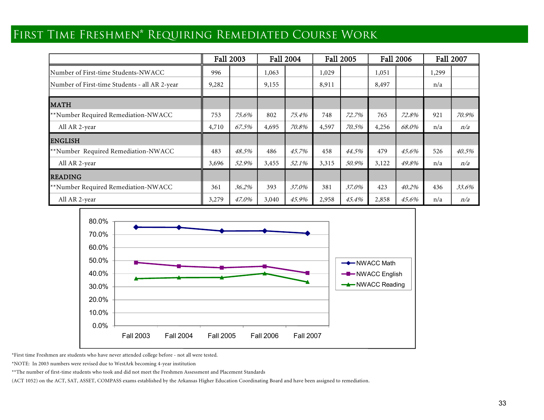## First Time Freshmen\* Requiring Remediated Course Work

|                                               |       | Fall 2003 |       | <b>Fall 2004</b> | <b>Fall 2005</b> |       | <b>Fall 2006</b> |       | <b>Fall 2007</b> |       |
|-----------------------------------------------|-------|-----------|-------|------------------|------------------|-------|------------------|-------|------------------|-------|
| Number of First-time Students-NWACC           | 996   |           | 1,063 |                  | 1,029            |       | 1,051            |       | 1,299            |       |
| Number of First-time Students - all AR 2-year | 9,282 |           | 9,155 |                  | 8,911            |       | 8,497            |       | n/a              |       |
| <b>MATH</b>                                   |       |           |       |                  |                  |       |                  |       |                  |       |
| **Number Required Remediation-NWACC           | 753   | 75.6%     | 802   | 75.4%            | 748              | 72.7% | 765              | 72.8% | 921              | 70.9% |
| All AR 2-year                                 | 4,710 | 67.5%     | 4,695 | 70.8%            | 4,597            | 70.5% | 4,256            | 68.0% | n/a              | n/a   |
| <b>ENGLISH</b>                                |       |           |       |                  |                  |       |                  |       |                  |       |
| **Number Required Remediation-NWACC           | 483   | 48.5%     | 486   | 45.7%            | 458              | 44.5% | 479              | 45.6% | 526              | 40.5% |
| All AR 2-year                                 | 3,696 | 52.9%     | 3,455 | 52.1%            | 3,315            | 50.9% | 3,122            | 49.8% | n/a              | n/a   |
| <b>READING</b>                                |       |           |       |                  |                  |       |                  |       |                  |       |
| **Number Required Remediation-NWACC           | 361   | 36.2%     | 393   | 37.0%            | 381              | 37.0% | 423              | 40.2% | 436              | 33.6% |
| All AR 2-year                                 | 3,279 | 47.0%     | 3,040 | 45.9%            | 2,958            | 45.4% | 2,858            | 45.6% | n/a              | n/a   |



\*First time Freshmen are students who have never attended college before - not all were tested.

\*NOTE: In 2003 numbers were revised due to WestArk becoming 4-year institution

\*\*The number of first-time students who took and did not meet the Freshmen Assessment and Placement Standards

(ACT 1052) on the ACT, SAT, ASSET, COMPASS exams established by the Arkansas Higher Education Coordinating Board and have been assigned to remediation.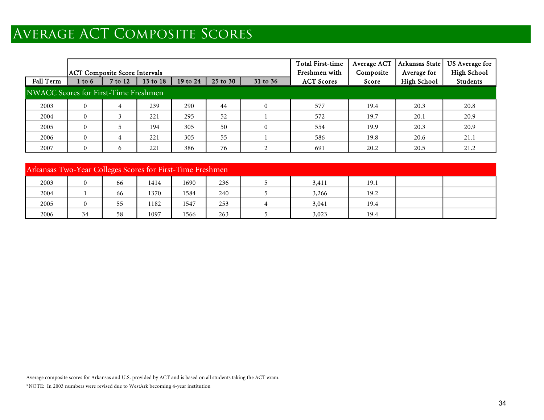# Average ACT Composite Scores

|                                      |                                      |              |          |          |               |                | <b>Total First-time</b> | Average ACT | Arkansas State | US Average for |  |  |
|--------------------------------------|--------------------------------------|--------------|----------|----------|---------------|----------------|-------------------------|-------------|----------------|----------------|--|--|
|                                      | <b>ACT Composite Score Intervals</b> |              |          |          | Freshmen with | Composite      | Average for             | High School |                |                |  |  |
| Fall Term                            | 1 to 6                               | 7 to 12      | 13 to 18 | 19 to 24 | 25 to 30      | 31 to 36       | <b>ACT Scores</b>       | Score       | High School    | Students       |  |  |
| NWACC Scores for First-Time Freshmen |                                      |              |          |          |               |                |                         |             |                |                |  |  |
| 2003                                 | $\Omega$                             | 4            | 239      | 290      | 44            | $\overline{0}$ | 577                     | 19.4        | 20.3           | 20.8           |  |  |
| 2004                                 | $\Omega$                             |              | 221      | 295      | 52            |                | 572                     | 19.7        | 20.1           | 20.9           |  |  |
| 2005                                 | $\Omega$                             |              | 194      | 305      | 50            | $\overline{0}$ | 554                     | 19.9        | 20.3           | 20.9           |  |  |
| 2006                                 | $\Omega$                             | 4            | 221      | 305      | 55            |                | 586                     | 19.8        | 20.6           | 21.1           |  |  |
| 2007                                 | $\Omega$                             | <sub>b</sub> | 221      | 386      | 76            |                | 691                     | 20.2        | 20.5           | 21.2           |  |  |

|      | Arkansas Two-Year Colleges Scores for First-Time Freshmen |    |      |      |     |  |       |      |  |  |  |  |
|------|-----------------------------------------------------------|----|------|------|-----|--|-------|------|--|--|--|--|
| 2003 | $\mathbf{0}$                                              | 66 | 1414 | 1690 | 236 |  | 3,411 | 19.1 |  |  |  |  |
| 2004 |                                                           | 66 | 1370 | 1584 | 240 |  | 3,266 | 19.2 |  |  |  |  |
| 2005 | $\theta$                                                  | 55 | 1182 | 1547 | 253 |  | 3,041 | 19.4 |  |  |  |  |
| 2006 | 34                                                        | 58 | 1097 | 1566 | 263 |  | 3,023 | 19.4 |  |  |  |  |

Average composite scores for Arkansas and U.S. provided by ACT and is based on all students taking the ACT exam.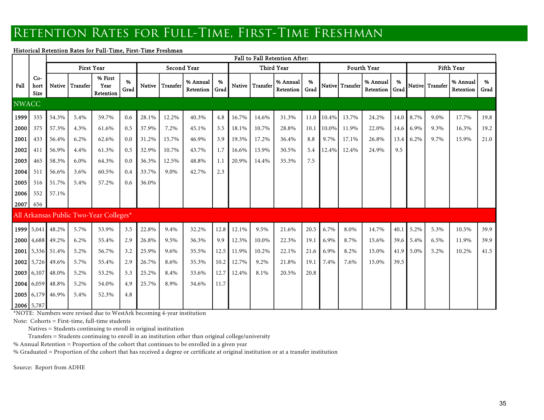## RETENTION RATES FOR FULL-TIME, FIRST-TIME FRESHMAN

### Historical Retention Rates for Full-Time, First-Time Freshman

|              |                              | Fall to Fall Retention After: |                   |                                        |           |       |                 |                       |           |       |                 |                       |           |          |                 |                            |      |           |                  |                       |           |
|--------------|------------------------------|-------------------------------|-------------------|----------------------------------------|-----------|-------|-----------------|-----------------------|-----------|-------|-----------------|-----------------------|-----------|----------|-----------------|----------------------------|------|-----------|------------------|-----------------------|-----------|
|              |                              |                               | <b>First Year</b> |                                        |           |       | Second Year     |                       |           |       |                 | Third Year            |           |          |                 | Fourth Year                |      |           |                  | Fifth Year            |           |
| Fall         | $Co-$<br>hort<br><b>Size</b> | Native                        | Transfer          | % First<br>Year<br>Retention           | %<br>Grad |       | Native Transfer | % Annual<br>Retention | %<br>Grad |       | Native Transfer | % Annual<br>Retention | %<br>Grad |          | Native Transfer | % Annual<br>Retention Grad | %    |           | Nativel Transfer | % Annual<br>Retention | %<br>Grad |
| <b>NWACC</b> |                              |                               |                   |                                        |           |       |                 |                       |           |       |                 |                       |           |          |                 |                            |      |           |                  |                       |           |
| 1999         | 335                          | 54.3%                         | 5.4%              | 59.7%                                  | 0.6       | 28.1% | 12.2%           | 40.3%                 | 4.8       | 16.7% | 14.6%           | 31.3%                 | 11.0      | 10.4%    | 13.7%           | 24.2%                      | 14.0 | 8.7%      | 9.0%             | 17.7%                 | 19.8      |
| 2000         | 375                          | 57.3%                         | 4.3%              | 61.6%                                  | 0.5       | 37.9% | 7.2%            | 45.1%                 | 3.5       | 18.1% | 10.7%           | 28.8%                 | 10.1      | $10.0\%$ | 11.9%           | 22.0%                      |      | 14.6 6.9% | 9.3%             | 16.3%                 | 19.2      |
| 2001         | 433                          | 56.4%                         | 6.2%              | 62.6%                                  | 0.0       | 31.2% | 15.7%           | 46.9%                 | 3.9       | 19.3% | 17.2%           | 36.4%                 | 8.8       | 9.7%     | 17.1%           | 26.8%                      | 13.4 | 6.2%      | 9.7%             | 15.9%                 | 21.0      |
| 2002         | 411                          | 56.9%                         | 4.4%              | 61.3%                                  | 0.5       | 32.9% | 10.7%           | 43.7%                 | 1.7       | 16.6% | 13.9%           | 30.5%                 | 5.4       | 12.4%    | 12.4%           | 24.9%                      | 9.5  |           |                  |                       |           |
| 2003         | 465                          | 58.3%                         | 6.0%              | 64.3%                                  | 0.0       | 36.3% | 12.5%           | 48.8%                 | 1.1       | 20.9% | 14.4%           | 35.3%                 | 7.5       |          |                 |                            |      |           |                  |                       |           |
| 2004         | 511                          | 56.6%                         | 3.6%              | 60.5%                                  | 0.4       | 33.7% | 9.0%            | 42.7%                 | 2.3       |       |                 |                       |           |          |                 |                            |      |           |                  |                       |           |
| 2005         | 516                          | 51.7%                         | 5.4%              | 57.2%                                  | 0.6       | 36.0% |                 |                       |           |       |                 |                       |           |          |                 |                            |      |           |                  |                       |           |
| 2006         | 552                          | 57.1%                         |                   |                                        |           |       |                 |                       |           |       |                 |                       |           |          |                 |                            |      |           |                  |                       |           |
| 2007         | 656                          |                               |                   |                                        |           |       |                 |                       |           |       |                 |                       |           |          |                 |                            |      |           |                  |                       |           |
|              |                              |                               |                   | All Arkansas Public Two-Year Colleges* |           |       |                 |                       |           |       |                 |                       |           |          |                 |                            |      |           |                  |                       |           |
|              |                              | 1999 5,041 48.2%              | 5.7%              | 53.9%                                  | 3.5       | 22.8% | 9.4%            | 32.2%                 | 12.8      | 12.1% | 9.5%            | 21.6%                 | 20.5      | 6.7%     | 8.0%            | 14.7%                      | 40.1 | 5.2%      | 5.3%             | 10.5%                 | 39.9      |
|              |                              | 2000 4,688 49.2%              | 6.2%              | 55.4%                                  | 2.9       | 26.8% | 9.5%            | 36.3%                 | 9.9       | 12.3% | 10.0%           | 22.3%                 | 19.1      | 6.9%     | 8.7%            | 15.6%                      |      | 39.6 5.4% | 6.5%             | 11.9%                 | 39.9      |
|              |                              | 2001 5,336 51.4%              | 5.2%              | 56.7%                                  | 3.2       | 25.9% | 9.6%            | 35.5%                 | 12.5      | 11.9% | 10.2%           | 22.1%                 | 21.6      | 6.9%     | 8.2%            | 15.0%                      | 41.9 | 5.0%      | 5.2%             | 10.2%                 | 41.5      |
|              |                              | 2002 5,726 49.6%              | 5.7%              | 55.4%                                  | 2.9       | 26.7% | 8.6%            | 35.3%                 | 10.2      | 12.7% | 9.2%            | 21.8%                 | 19.1      | 7.4%     | 7.6%            | 15.0%                      | 39.5 |           |                  |                       |           |
|              |                              | 2003 6,107 48.0%              | 5.2%              | 53.2%                                  | 5.3       | 25.2% | 8.4%            | 33.6%                 | 12.7      | 12.4% | 8.1%            | 20.5%                 | 20.8      |          |                 |                            |      |           |                  |                       |           |
|              |                              | 2004 6,059 48.8%              | 5.2%              | 54.0%                                  | 4.9       | 25.7% | 8.9%            | 34.6%                 | 11.7      |       |                 |                       |           |          |                 |                            |      |           |                  |                       |           |
|              |                              | 2005 6,179 46.9%              | 5.4%              | 52.3%                                  | 4.8       |       |                 |                       |           |       |                 |                       |           |          |                 |                            |      |           |                  |                       |           |
|              | 2006 5,787                   |                               |                   |                                        |           |       |                 |                       |           |       |                 |                       |           |          |                 |                            |      |           |                  |                       |           |

\*NOTE: Numbers were revised due to WestArk becoming 4-year institution

Note: Cohorts = First-time, full-time students<br>Natives = Students continuing to enroll in original institution<br>Transfers = Students continuing to enroll in an institution other than original college/university

% Annual Retention = Proportion of the cohort that continues to be enrolled in a given year

% Graduated = Proportion of the cohort that has received a degree or certificate at original institution or at a transfer institution

Source: Report from ADHE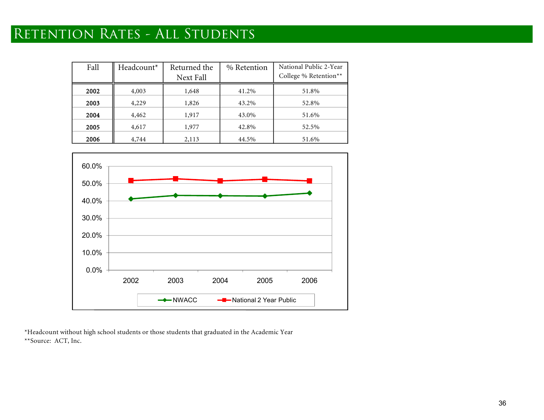# RETENTION RATES - ALL STUDENTS

| Fall | Headcount* | Returned the<br>Next Fall | % Retention | National Public 2-Year<br>College % Retention** |
|------|------------|---------------------------|-------------|-------------------------------------------------|
| 2002 | 4,003      | 1,648                     | 41.2%       | 51.8%                                           |
| 2003 | 4,229      | 1,826                     | 43.2%       | 52.8%                                           |
| 2004 | 4,462      | 1,917                     | 43.0%       | 51.6%                                           |
| 2005 | 4,617      | 1,977                     | 42.8%       | 52.5%                                           |
| 2006 | 4,744      | 2,113                     | 44.5%       | 51.6%                                           |



\*Headcount without high school students or those students that graduated in the Academic Year \*\*Source: ACT, Inc.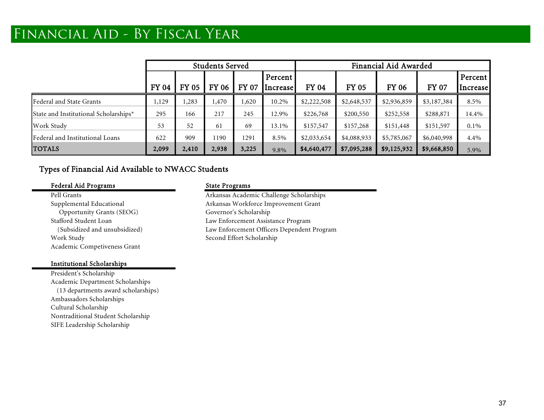# Financial Aid - By Fiscal Year

|                                       |              | <b>Students Served</b> |              |              |                             |              | Financial Aid Awarded |              |              |                     |  |  |
|---------------------------------------|--------------|------------------------|--------------|--------------|-----------------------------|--------------|-----------------------|--------------|--------------|---------------------|--|--|
|                                       | <b>FY 04</b> | <b>FY 05</b>           | <b>FY 06</b> | <b>FY 07</b> | Percent'<br><b>Increase</b> | <b>FY 04</b> | <b>FY 05</b>          | <b>FY 06</b> | <b>FY 07</b> | Percent<br>Increase |  |  |
|                                       |              |                        |              |              |                             |              |                       |              |              |                     |  |  |
| Federal and State Grants              | 1,129        | ,283                   | 1,470        | 1,620        | 10.2%                       | \$2,222,508  | \$2,648,537           | \$2,936,859  | \$3,187,384  | 8.5%                |  |  |
| State and Institutional Scholarships* | 295          | 166                    | 217          | 245          | 12.9%                       | \$226,768    | \$200,550             | \$252,558    | \$288,871    | 14.4%               |  |  |
| Work Study                            | 53           | 52                     | 61           | 69           | 13.1%                       | \$157,547    | \$157,268             | \$151,448    | \$151,597    | $0.1\%$             |  |  |
| Federal and Institutional Loans       | 622          | 909                    | 1190         | 1291         | 8.5%                        | \$2,033,654  | \$4,088,933           | \$5,785,067  | \$6,040,998  | 4.4%                |  |  |
| <b>TOTALS</b>                         | 2,099        | 2,410                  | 2,938        | 3,225        | 9.8%                        | \$4,640,477  | \$7,095,288           | \$9,125,932  | \$9,668,850  | 5.9%                |  |  |

### Types of Financial Aid Available to NWACC Students

### Federal Aid Programs State Programs

Opportunity Grants (SEOG) Governor's Scholarship Work Study Second Effort Scholarship Academic Competiveness Grant

### Institutional Scholarships

President's Scholarship Academic Department Scholarships (13 departments award scholarships) Ambassadors Scholarships Cultural Scholarship Nontraditional Student Scholarship SIFE Leadership Scholarship

Pell Grants **Arkansas Academic Challenge Scholarships** Supplemental Educational **Arkansas Workforce Improvement Grant** Stafford Student Loan Law Enforcement Assistance Program (Subsidized and unsubsidized) Law Enforcement Officers Dependent Program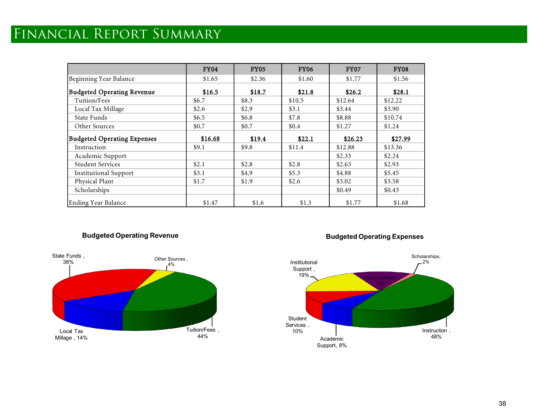# Financial Report Summary

|                                    | <b>FY04</b> | <b>FY05</b> | <b>FY06</b> | <b>FY07</b> | <b>FY08</b> |
|------------------------------------|-------------|-------------|-------------|-------------|-------------|
| Beginning Year Balance             | \$1.65      | \$2.36      | \$1.60      | \$1.77      | \$1.56      |
| <b>Budgeted Operating Revenue</b>  | \$16.5      | \$18.7      | \$21.8      | \$26.2      | \$28.1      |
| Tuition/Fees                       | \$6.7       | \$8.3       | \$10.5      | \$12.64     | \$12.22     |
| Local Tax Millage                  | \$2.6       | \$2.9       | \$3.1       | \$3.44      | \$3.90      |
| State Funds                        | \$6.5\$     | \$6.8       | \$7.8       | \$8.88      | \$10.74     |
| Other Sources                      | \$0.7       | \$0.7       | \$0.4       | \$1.27      | \$1.24      |
| <b>Budgeted Operating Expenses</b> | \$16.68     | \$19.4      | \$22.1      | \$26.23     | \$27.99     |
| Instruction                        | \$9.1       | \$9.8       | \$11.4      | \$12.88     | \$13.36     |
| Academic Support                   |             |             |             | \$2.33      | \$2.24      |
| <b>Student Services</b>            | \$2.1       | \$2.8       | \$2.8       | \$2.63      | \$2.93      |
| <b>Institutional Support</b>       | \$3.1       | \$4.9       | \$5.3       | \$4.88      | \$5.45      |
| Physical Plant                     | \$1.7       | \$1.9       | \$2.6       | \$3.02      | \$3.58      |
| Scholarships                       |             |             |             | \$0.49      | \$0.43      |
| <b>Ending Year Balance</b>         | \$1.47      | \$1.6       | \$1.3       | \$1.77      | \$1.68      |

### **Budgeted Operating Revenue**



### **Budgeted Operating Expenses**

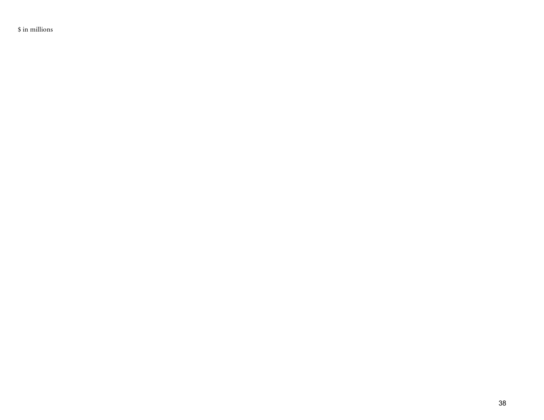\$ in millions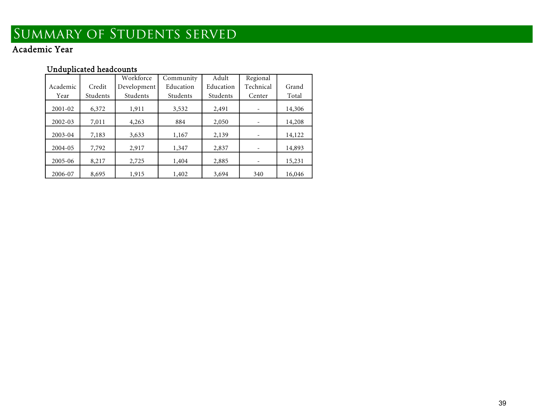# Summary of Students served

Academic Year

## Unduplicated headcounts

|          |          | Workforce   | Community | Adult     | Regional  |        |
|----------|----------|-------------|-----------|-----------|-----------|--------|
| Academic | Credit   | Development | Education | Education | Technical | Grand  |
| Year     | Students | Students    | Students  | Students  | Center    | Total  |
| 2001-02  | 6,372    | 1,911       | 3,532     | 2,491     |           | 14,306 |
| 2002-03  | 7,011    | 4,263       | 884       | 2,050     |           | 14,208 |
| 2003-04  | 7,183    | 3,633       | 1,167     | 2,139     |           | 14,122 |
| 2004-05  | 7,792    | 2,917       | 1,347     | 2,837     |           | 14,893 |
| 2005-06  | 8,217    | 2,725       | 1,404     | 2,885     |           | 15,231 |
| 2006-07  | 8,695    | 1,915       | 1,402     | 3,694     | 340       | 16,046 |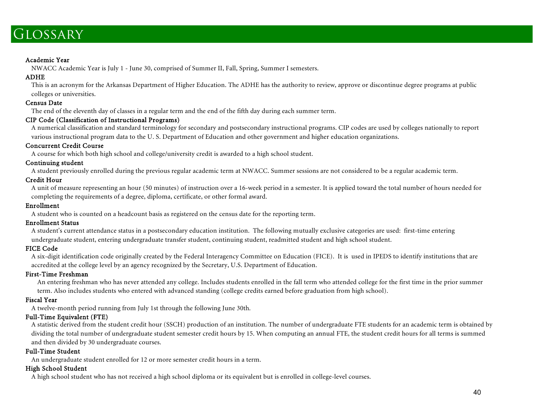## **GLOSSARY**

### Academic Year

NWACC Academic Year is July <sup>1</sup> - June 30, comprised of Summer II, Fall, Spring, Summer I semesters. ADHE

This is an acronym for the Arkansas Department of Higher Education. The ADHE has the authority to review, approve or discontinue degree programs at public colleges or universities. Census Date

The end of the eleventh day of classes in a regular term and the end of the fifth day during each summer term. CIP Code (Classification of Instructional Programs)

A numerical classification and standard terminology for secondary and postsecondary instructional programs. CIP codes are used by colleges nationally to report various instructional program data to the U.S. Department of E

<sup>A</sup> course for which both high school and college/university credit is awarded to a high school student. Continuing student

A student previously enrolled during the previous regular academic term at NWACC. Summer sessions are not considered to be a regular academic term.<br>Credit Hour

A unit of measure representing an hour (50 minutes) of instruction over a 16-week period in a semester. It is applied toward the total number of hours needed for completing the requirements of a degree, diploma, certificate, or other formal award. Enrollment

<sup>A</sup> student who is counted on a headcount basis as registered on the census date for the reporting term. Enrollment Status

A student's current attendance status in a postsecondary education institution. The following mutually exclusive categories are used: first-time entering undergraduate student, entering undergraduate transfer student, continuing student, readmitted student and high school student.<br>FICE Code

A six-digit identification code originally created by the Federal Interagency Committee on Education (FICE). It is used in IPEDS to identify institutions that are accredited at the college level by an agency recognized by

An entering freshman who has never attended any college. Includes students enrolled in the fall term who attended college for the first time in the prior summer term. Also includes students who entered with advanced standing (college credits earned before graduation from high school). Fiscal Year

A twelve-month period running from July 1st through the following June 30th.

### Full-Time Equivalent (FTE)

A statistic derived from the student credit hour (SSCH) production of an institution. The number of undergraduate FTE students for an academic term is obtained by dividing the total number of undergraduate student semester credit hours by 15. When computing an annual FTE, the student credit hours for all terms is summed and then divided by <sup>30</sup> undergraduate courses. Full-Time Student

An undergraduate student enrolled for 12 or more semester credit hours in a term. High School Student

A high school student who has not received a high school diploma or its equivalent but is enrolled in college-level courses.